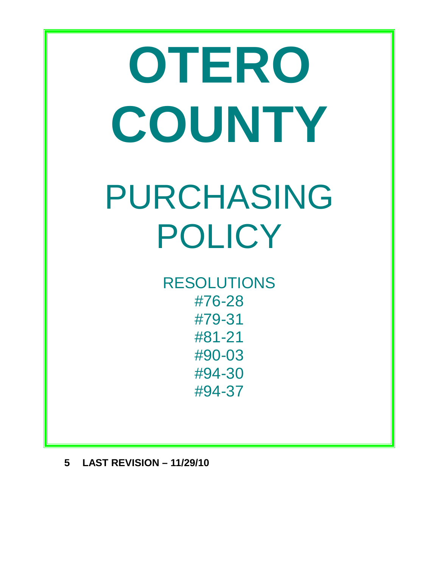# **OTERO COUNTY** PURCHASING POLICY

RESOLUTIONS #76-28 #79-31 #81-21 #90-03 #94-30 #94-37

**5 LAST REVISION – 11/29/10**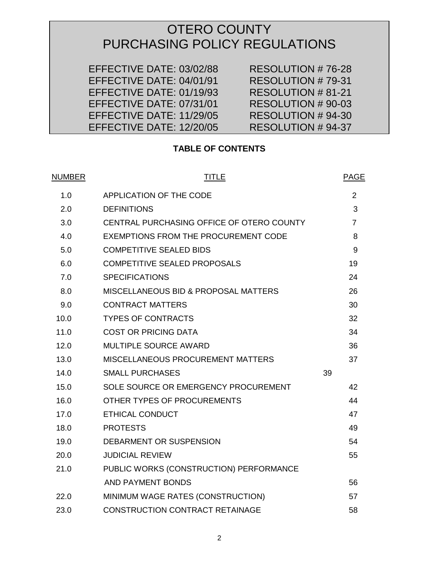# OTERO COUNTY PURCHASING POLICY REGULATIONS

 EFFECTIVE DATE: 03/02/88 RESOLUTION # 76-28 EFFECTIVE DATE: 04/01/91 RESOLUTION # 79-31 EFFECTIVE DATE: 01/19/93 RESOLUTION # 81-21 EFFECTIVE DATE: 07/31/01 RESOLUTION # 90-03 EFFECTIVE DATE: 11/29/05 RESOLUTION # 94-30<br>EFFECTIVE DATE: 12/20/05 RESOLUTION # 94-37 EFFECTIVE DATE: 12/20/05

# **TABLE OF CONTENTS**

| <u>NUMBER</u> | <b>TITLE</b>                                |    | <b>PAGE</b>    |
|---------------|---------------------------------------------|----|----------------|
| 1.0           | APPLICATION OF THE CODE                     |    | $\overline{2}$ |
| 2.0           | <b>DEFINITIONS</b>                          |    | 3              |
| 3.0           | CENTRAL PURCHASING OFFICE OF OTERO COUNTY   |    | $\overline{7}$ |
| 4.0           | <b>EXEMPTIONS FROM THE PROCUREMENT CODE</b> |    | 8              |
| 5.0           | <b>COMPETITIVE SEALED BIDS</b>              |    | 9              |
| 6.0           | <b>COMPETITIVE SEALED PROPOSALS</b>         |    | 19             |
| 7.0           | <b>SPECIFICATIONS</b>                       |    | 24             |
| 8.0           | MISCELLANEOUS BID & PROPOSAL MATTERS        |    | 26             |
| 9.0           | <b>CONTRACT MATTERS</b>                     |    | 30             |
| 10.0          | <b>TYPES OF CONTRACTS</b>                   |    | 32             |
| 11.0          | <b>COST OR PRICING DATA</b>                 |    | 34             |
| 12.0          | <b>MULTIPLE SOURCE AWARD</b>                |    | 36             |
| 13.0          | MISCELLANEOUS PROCUREMENT MATTERS           |    | 37             |
| 14.0          | <b>SMALL PURCHASES</b>                      | 39 |                |
| 15.0          | SOLE SOURCE OR EMERGENCY PROCUREMENT        |    | 42             |
| 16.0          | OTHER TYPES OF PROCUREMENTS                 |    | 44             |
| 17.0          | <b>ETHICAL CONDUCT</b>                      |    | 47             |
| 18.0          | <b>PROTESTS</b>                             |    | 49             |
| 19.0          | DEBARMENT OR SUSPENSION                     |    | 54             |
| 20.0          | <b>JUDICIAL REVIEW</b>                      |    | 55             |
| 21.0          | PUBLIC WORKS (CONSTRUCTION) PERFORMANCE     |    |                |
|               | AND PAYMENT BONDS                           |    | 56             |
| 22.0          | MINIMUM WAGE RATES (CONSTRUCTION)           |    | 57             |
| 23.0          | <b>CONSTRUCTION CONTRACT RETAINAGE</b>      |    | 58             |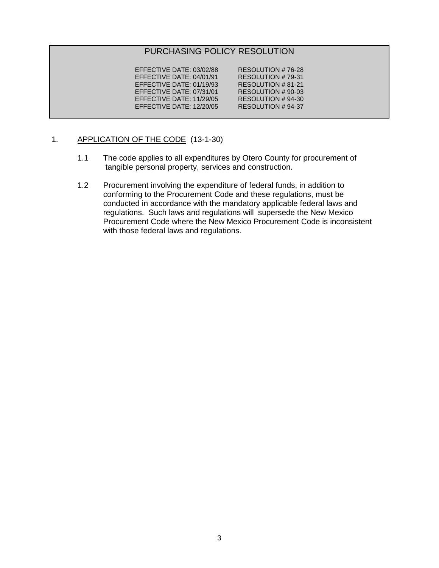# PURCHASING POLICY RESOLUTION

EFFECTIVE DATE: 03/02/88 RESOLUTION # 76-28<br>EFFECTIVE DATE: 04/01/91 RESOLUTION # 79-31 EFFECTIVE DATE: 04/01/91 RESOLUTION # 79-31<br>EFFECTIVE DATE: 01/19/93 RESOLUTION # 81-21 EFFECTIVE DATE: 01/19/93 RESOLUTION # 81-21<br>EFFECTIVE DATE: 07/31/01 RESOLUTION # 90-03 EFFECTIVE DATE: 07/31/01 RESOLUTION # 90-03<br>EFFECTIVE DATE: 11/29/05 RESOLUTION # 94-30 EFFECTIVE DATE: 11/29/05 RESOLUTION # 94-30<br>EFFECTIVE DATE: 12/20/05 RESOLUTION # 94-37 EFFECTIVE DATE: 12/20/05

# 1. APPLICATION OF THE CODE (13-1-30)

- 1.1 The code applies to all expenditures by Otero County for procurement of tangible personal property, services and construction.
- 1.2 Procurement involving the expenditure of federal funds, in addition to conforming to the Procurement Code and these regulations, must be conducted in accordance with the mandatory applicable federal laws and regulations. Such laws and regulations will supersede the New Mexico Procurement Code where the New Mexico Procurement Code is inconsistent with those federal laws and regulations.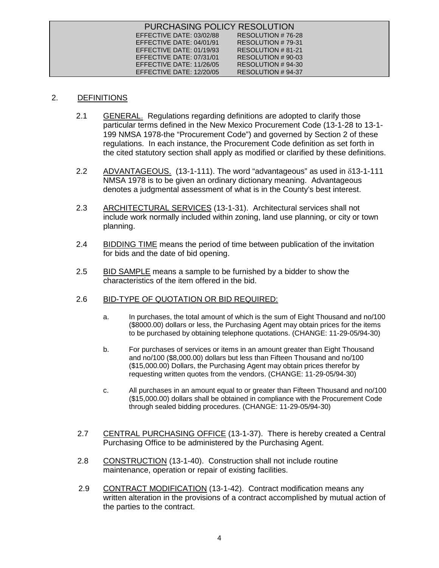| PURCHASING POLICY RESOLUTION |                   |
|------------------------------|-------------------|
| EFFECTIVE DATE: 03/02/88     | RESOLUTION #76-28 |
| EFFECTIVE DATE: 04/01/91     | RESOLUTION #79-31 |
| EFFECTIVE DATE: 01/19/93     | RESOLUTION #81-21 |
| EFFECTIVE DATE: 07/31/01     | RESOLUTION #90-03 |
| EFFECTIVE DATE: 11/26/05     | RESOLUTION #94-30 |
| EFFECTIVE DATE: 12/20/05     | RESOLUTION #94-37 |

# 2. DEFINITIONS

- 2.1 GENERAL. Regulations regarding definitions are adopted to clarify those particular terms defined in the New Mexico Procurement Code (13-1-28 to 13-1- 199 NMSA 1978-the "Procurement Code") and governed by Section 2 of these regulations. In each instance, the Procurement Code definition as set forth in the cited statutory section shall apply as modified or clarified by these definitions.
- 2.2 ADVANTAGEOUS. (13-1-111). The word "advantageous" as used in  $\delta$ 13-1-111 NMSA 1978 is to be given an ordinary dictionary meaning. Advantageous denotes a judgmental assessment of what is in the County's best interest.
- 2.3 ARCHITECTURAL SERVICES (13-1-31). Architectural services shall not include work normally included within zoning, land use planning, or city or town planning.
- 2.4 BIDDING TIME means the period of time between publication of the invitation for bids and the date of bid opening.
	- 2.5 BID SAMPLE means a sample to be furnished by a bidder to show the characteristics of the item offered in the bid.

### 2.6 BID-TYPE OF QUOTATION OR BID REQUIRED:

- a. In purchases, the total amount of which is the sum of Eight Thousand and no/100 (\$8000.00) dollars or less, the Purchasing Agent may obtain prices for the items to be purchased by obtaining telephone quotations. (CHANGE: 11-29-05/94-30)
- b. For purchases of services or items in an amount greater than Eight Thousand and no/100 (\$8,000.00) dollars but less than Fifteen Thousand and no/100 (\$15,000.00) Dollars, the Purchasing Agent may obtain prices therefor by requesting written quotes from the vendors. (CHANGE: 11-29-05/94-30)
- c. All purchases in an amount equal to or greater than Fifteen Thousand and no/100 (\$15,000.00) dollars shall be obtained in compliance with the Procurement Code through sealed bidding procedures. (CHANGE: 11-29-05/94-30)
- 2.7 CENTRAL PURCHASING OFFICE (13-1-37). There is hereby created a Central Purchasing Office to be administered by the Purchasing Agent.
- 2.8 CONSTRUCTION (13-1-40). Construction shall not include routine maintenance, operation or repair of existing facilities.
- 2.9 CONTRACT MODIFICATION (13-1-42). Contract modification means any written alteration in the provisions of a contract accomplished by mutual action of the parties to the contract.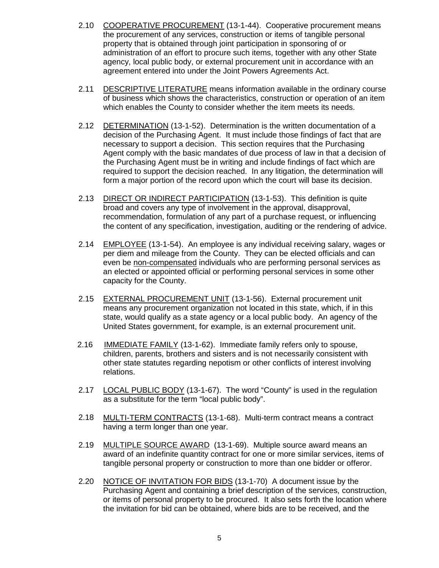- 2.10 COOPERATIVE PROCUREMENT (13-1-44). Cooperative procurement means the procurement of any services, construction or items of tangible personal property that is obtained through joint participation in sponsoring of or administration of an effort to procure such items, together with any other State agency, local public body, or external procurement unit in accordance with an agreement entered into under the Joint Powers Agreements Act.
	- 2.11 DESCRIPTIVE LITERATURE means information available in the ordinary course of business which shows the characteristics, construction or operation of an item which enables the County to consider whether the item meets its needs.
	- 2.12 DETERMINATION (13-1-52). Determination is the written documentation of a decision of the Purchasing Agent. It must include those findings of fact that are necessary to support a decision. This section requires that the Purchasing Agent comply with the basic mandates of due process of law in that a decision of the Purchasing Agent must be in writing and include findings of fact which are required to support the decision reached. In any litigation, the determination will form a major portion of the record upon which the court will base its decision.
	- 2.13 DIRECT OR INDIRECT PARTICIPATION (13-1-53). This definition is quite broad and covers any type of involvement in the approval, disapproval, recommendation, formulation of any part of a purchase request, or influencing the content of any specification, investigation, auditing or the rendering of advice.
	- 2.14 EMPLOYEE (13-1-54). An employee is any individual receiving salary, wages or per diem and mileage from the County. They can be elected officials and can even be non-compensated individuals who are performing personal services as an elected or appointed official or performing personal services in some other capacity for the County.
	- 2.15 EXTERNAL PROCUREMENT UNIT (13-1-56). External procurement unit means any procurement organization not located in this state, which, if in this state, would qualify as a state agency or a local public body. An agency of the United States government, for example, is an external procurement unit.
	- 2.16 IMMEDIATE FAMILY (13-1-62). Immediate family refers only to spouse, children, parents, brothers and sisters and is not necessarily consistent with other state statutes regarding nepotism or other conflicts of interest involving relations.
	- 2.17 LOCAL PUBLIC BODY (13-1-67). The word "County" is used in the regulation as a substitute for the term "local public body".
	- 2.18 MULTI-TERM CONTRACTS (13-1-68). Multi-term contract means a contract having a term longer than one year.
	- 2.19 MULTIPLE SOURCE AWARD (13-1-69). Multiple source award means an award of an indefinite quantity contract for one or more similar services, items of tangible personal property or construction to more than one bidder or offeror.
	- 2.20 NOTICE OF INVITATION FOR BIDS (13-1-70) A document issue by the Purchasing Agent and containing a brief description of the services, construction, or items of personal property to be procured. It also sets forth the location where the invitation for bid can be obtained, where bids are to be received, and the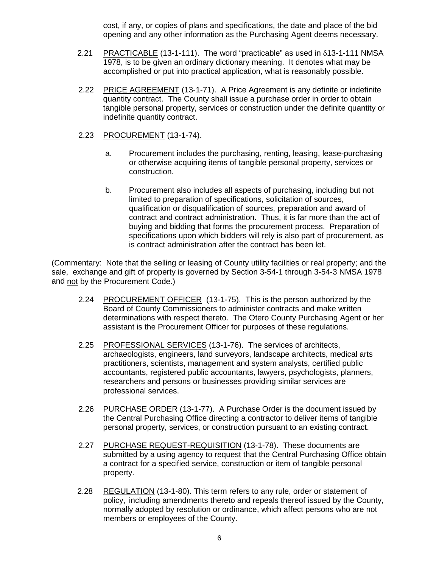cost, if any, or copies of plans and specifications, the date and place of the bid opening and any other information as the Purchasing Agent deems necessary.

- 2.21 PRACTICABLE (13-1-111). The word "practicable" as used in  $\delta$ 13-1-111 NMSA 1978, is to be given an ordinary dictionary meaning. It denotes what may be accomplished or put into practical application, what is reasonably possible.
- 2.22 PRICE AGREEMENT (13-1-71). A Price Agreement is any definite or indefinite quantity contract. The County shall issue a purchase order in order to obtain tangible personal property, services or construction under the definite quantity or indefinite quantity contract.
- 2.23 PROCUREMENT (13-1-74).
	- a. Procurement includes the purchasing, renting, leasing, lease-purchasing or otherwise acquiring items of tangible personal property, services or construction.
	- b. Procurement also includes all aspects of purchasing, including but not limited to preparation of specifications, solicitation of sources, qualification or disqualification of sources, preparation and award of contract and contract administration. Thus, it is far more than the act of buying and bidding that forms the procurement process. Preparation of specifications upon which bidders will rely is also part of procurement, as is contract administration after the contract has been let.

(Commentary: Note that the selling or leasing of County utility facilities or real property; and the sale, exchange and gift of property is governed by Section 3-54-1 through 3-54-3 NMSA 1978 and not by the Procurement Code.)

- 2.24 PROCUREMENT OFFICER (13-1-75). This is the person authorized by the Board of County Commissioners to administer contracts and make written determinations with respect thereto. The Otero County Purchasing Agent or her assistant is the Procurement Officer for purposes of these regulations.
- 2.25 PROFESSIONAL SERVICES (13-1-76). The services of architects, archaeologists, engineers, land surveyors, landscape architects, medical arts practitioners, scientists, management and system analysts, certified public accountants, registered public accountants, lawyers, psychologists, planners, researchers and persons or businesses providing similar services are professional services.
- 2.26 PURCHASE ORDER (13-1-77). A Purchase Order is the document issued by the Central Purchasing Office directing a contractor to deliver items of tangible personal property, services, or construction pursuant to an existing contract.
- 2.27 PURCHASE REQUEST-REQUISITION (13-1-78). These documents are submitted by a using agency to request that the Central Purchasing Office obtain a contract for a specified service, construction or item of tangible personal property.
- 2.28 REGULATION (13-1-80). This term refers to any rule, order or statement of policy, including amendments thereto and repeals thereof issued by the County, normally adopted by resolution or ordinance, which affect persons who are not members or employees of the County.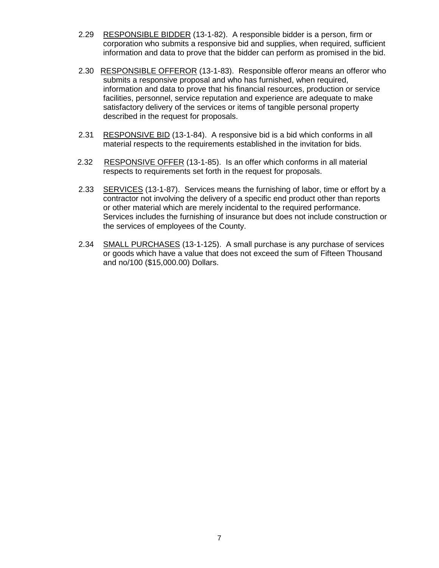- 2.29 RESPONSIBLE BIDDER (13-1-82). A responsible bidder is a person, firm or corporation who submits a responsive bid and supplies, when required, sufficient information and data to prove that the bidder can perform as promised in the bid.
- 2.30 RESPONSIBLE OFFEROR (13-1-83). Responsible offeror means an offeror who submits a responsive proposal and who has furnished, when required, information and data to prove that his financial resources, production or service facilities, personnel, service reputation and experience are adequate to make satisfactory delivery of the services or items of tangible personal property described in the request for proposals.
	- 2.31 RESPONSIVE BID (13-1-84). A responsive bid is a bid which conforms in all material respects to the requirements established in the invitation for bids.
	- 2.32 RESPONSIVE OFFER (13-1-85). Is an offer which conforms in all material respects to requirements set forth in the request for proposals.
	- 2.33 SERVICES (13-1-87). Services means the furnishing of labor, time or effort by a contractor not involving the delivery of a specific end product other than reports or other material which are merely incidental to the required performance. Services includes the furnishing of insurance but does not include construction or the services of employees of the County.
	- 2.34 SMALL PURCHASES (13-1-125). A small purchase is any purchase of services or goods which have a value that does not exceed the sum of Fifteen Thousand and no/100 (\$15,000.00) Dollars.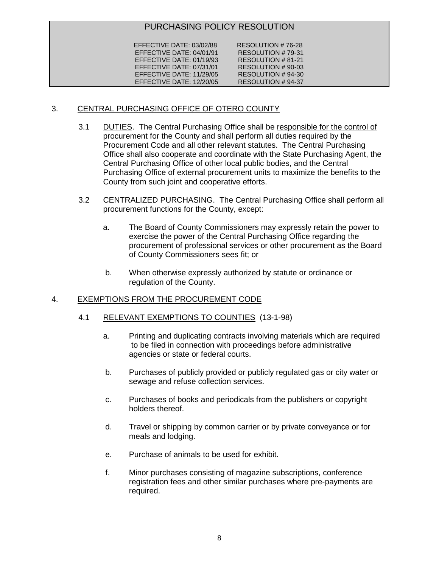# PURCHASING POLICY RESOLUTION

EFFECTIVE DATE: 03/02/88 RESOLUTION # 76-28<br>EFFECTIVE DATE: 04/01/91 RESOLUTION # 79-31 EFFECTIVE DATE: 04/01/91 RESOLUTION # 79-31<br>EFFECTIVE DATE: 01/19/93 RESOLUTION # 81-21 EFFECTIVE DATE: 01/19/93 RESOLUTION # 81-21<br>EFFECTIVE DATE: 07/31/01 RESOLUTION # 90-03 EFFECTIVE DATE: 07/31/01 RESOLUTION # 90-03<br>EFFECTIVE DATE: 11/29/05 RESOLUTION # 94-30 EFFECTIVE DATE: 11/29/05 RESOLUTION # 94-30<br>EFFECTIVE DATE: 12/20/05 RESOLUTION # 94-37 EFFECTIVE DATE: 12/20/05

# 3. CENTRAL PURCHASING OFFICE OF OTERO COUNTY

- 3.1 DUTIES. The Central Purchasing Office shall be responsible for the control of procurement for the County and shall perform all duties required by the Procurement Code and all other relevant statutes. The Central Purchasing Office shall also cooperate and coordinate with the State Purchasing Agent, the Central Purchasing Office of other local public bodies, and the Central Purchasing Office of external procurement units to maximize the benefits to the County from such joint and cooperative efforts.
- 3.2 CENTRALIZED PURCHASING. The Central Purchasing Office shall perform all procurement functions for the County, except:
	- a. The Board of County Commissioners may expressly retain the power to exercise the power of the Central Purchasing Office regarding the procurement of professional services or other procurement as the Board of County Commissioners sees fit; or
	- b. When otherwise expressly authorized by statute or ordinance or regulation of the County.

# 4. EXEMPTIONS FROM THE PROCUREMENT CODE

- 4.1 RELEVANT EXEMPTIONS TO COUNTIES (13-1-98)
	- a. Printing and duplicating contracts involving materials which are required to be filed in connection with proceedings before administrative agencies or state or federal courts.
	- b. Purchases of publicly provided or publicly regulated gas or city water or sewage and refuse collection services.
	- c. Purchases of books and periodicals from the publishers or copyright holders thereof.
	- d. Travel or shipping by common carrier or by private conveyance or for meals and lodging.
	- e. Purchase of animals to be used for exhibit.
	- f. Minor purchases consisting of magazine subscriptions, conference registration fees and other similar purchases where pre-payments are required.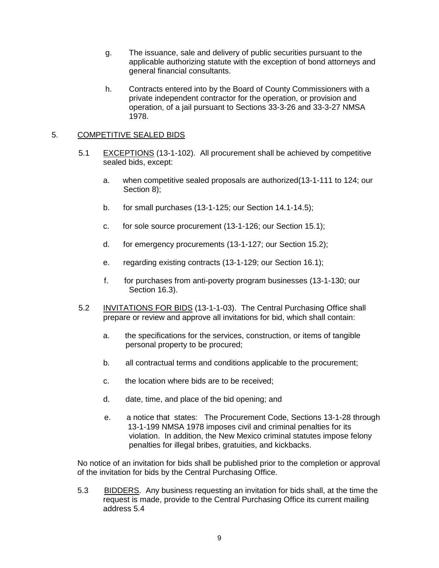- g. The issuance, sale and delivery of public securities pursuant to the applicable authorizing statute with the exception of bond attorneys and general financial consultants.
- h. Contracts entered into by the Board of County Commissioners with a private independent contractor for the operation, or provision and operation, of a jail pursuant to Sections 33-3-26 and 33-3-27 NMSA 1978.

# 5. COMPETITIVE SEALED BIDS

- 5.1 EXCEPTIONS (13-1-102). All procurement shall be achieved by competitive sealed bids, except:
	- a. when competitive sealed proposals are authorized(13-1-111 to 124; our Section 8);
	- b. for small purchases (13-1-125; our Section 14.1-14.5);
	- c. for sole source procurement (13-1-126; our Section 15.1);
	- d. for emergency procurements (13-1-127; our Section 15.2);
	- e. regarding existing contracts (13-1-129; our Section 16.1);
	- f. for purchases from anti-poverty program businesses (13-1-130; our Section 16.3).
- 5.2 INVITATIONS FOR BIDS (13-1-1-03). The Central Purchasing Office shall prepare or review and approve all invitations for bid, which shall contain:
	- a. the specifications for the services, construction, or items of tangible personal property to be procured;
	- b. all contractual terms and conditions applicable to the procurement;
	- c. the location where bids are to be received;
	- d. date, time, and place of the bid opening; and
	- e. a notice that states: The Procurement Code, Sections 13-1-28 through 13-1-199 NMSA 1978 imposes civil and criminal penalties for its violation. In addition, the New Mexico criminal statutes impose felony penalties for illegal bribes, gratuities, and kickbacks.

No notice of an invitation for bids shall be published prior to the completion or approval of the invitation for bids by the Central Purchasing Office.

5.3 BIDDERS. Any business requesting an invitation for bids shall, at the time the request is made, provide to the Central Purchasing Office its current mailing address 5.4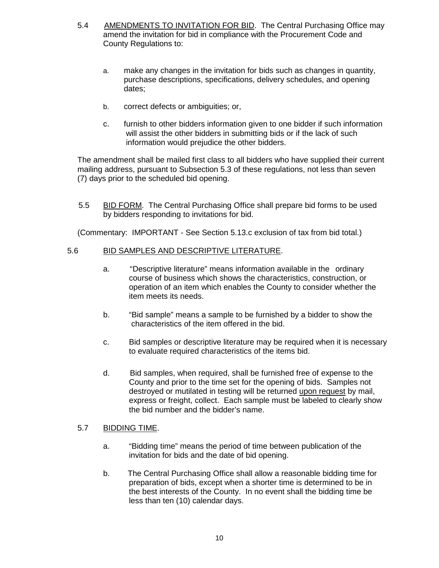- 5.4 AMENDMENTS TO INVITATION FOR BID. The Central Purchasing Office may amend the invitation for bid in compliance with the Procurement Code and County Regulations to:
	- a. make any changes in the invitation for bids such as changes in quantity, purchase descriptions, specifications, delivery schedules, and opening dates;
	- b. correct defects or ambiguities; or,
	- c. furnish to other bidders information given to one bidder if such information will assist the other bidders in submitting bids or if the lack of such information would prejudice the other bidders.

The amendment shall be mailed first class to all bidders who have supplied their current mailing address, pursuant to Subsection 5.3 of these regulations, not less than seven (7) days prior to the scheduled bid opening.

 5.5 BID FORM. The Central Purchasing Office shall prepare bid forms to be used by bidders responding to invitations for bid.

(Commentary: IMPORTANT - See Section 5.13.c exclusion of tax from bid total.)

# 5.6 BID SAMPLES AND DESCRIPTIVE LITERATURE.

- a. "Descriptive literature" means information available in the ordinary course of business which shows the characteristics, construction, or operation of an item which enables the County to consider whether the item meets its needs.
- b. "Bid sample" means a sample to be furnished by a bidder to show the characteristics of the item offered in the bid.
- c. Bid samples or descriptive literature may be required when it is necessary to evaluate required characteristics of the items bid.
- d. Bid samples, when required, shall be furnished free of expense to the County and prior to the time set for the opening of bids. Samples not destroyed or mutilated in testing will be returned upon request by mail, express or freight, collect. Each sample must be labeled to clearly show the bid number and the bidder's name.

# 5.7 BIDDING TIME.

- a. "Bidding time" means the period of time between publication of the invitation for bids and the date of bid opening.
- b. The Central Purchasing Office shall allow a reasonable bidding time for preparation of bids, except when a shorter time is determined to be in the best interests of the County. In no event shall the bidding time be less than ten (10) calendar days.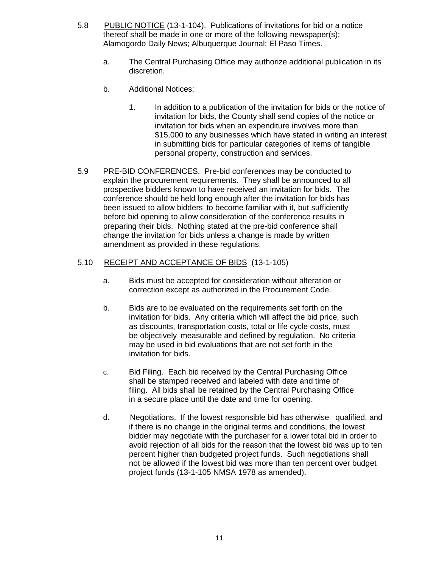- 5.8 PUBLIC NOTICE (13-1-104). Publications of invitations for bid or a notice thereof shall be made in one or more of the following newspaper(s): Alamogordo Daily News; Albuquerque Journal; El Paso Times.
	- a. The Central Purchasing Office may authorize additional publication in its discretion.
	- b. Additional Notices:
		- 1. In addition to a publication of the invitation for bids or the notice of invitation for bids, the County shall send copies of the notice or invitation for bids when an expenditure involves more than \$15,000 to any businesses which have stated in writing an interest in submitting bids for particular categories of items of tangible personal property, construction and services.
- 5.9 PRE-BID CONFERENCES. Pre-bid conferences may be conducted to explain the procurement requirements. They shall be announced to all prospective bidders known to have received an invitation for bids. The conference should be held long enough after the invitation for bids has been issued to allow bidders to become familiar with it, but sufficiently before bid opening to allow consideration of the conference results in preparing their bids. Nothing stated at the pre-bid conference shall change the invitation for bids unless a change is made by written amendment as provided in these regulations.

# 5.10 RECEIPT AND ACCEPTANCE OF BIDS (13-1-105)

- a. Bids must be accepted for consideration without alteration or correction except as authorized in the Procurement Code.
- b. Bids are to be evaluated on the requirements set forth on the invitation for bids. Any criteria which will affect the bid price, such as discounts, transportation costs, total or life cycle costs, must be objectively measurable and defined by regulation. No criteria may be used in bid evaluations that are not set forth in the invitation for bids.
- c. Bid Filing. Each bid received by the Central Purchasing Office shall be stamped received and labeled with date and time of filing. All bids shall be retained by the Central Purchasing Office in a secure place until the date and time for opening.
- d. Negotiations. If the lowest responsible bid has otherwise qualified, and if there is no change in the original terms and conditions, the lowest bidder may negotiate with the purchaser for a lower total bid in order to avoid rejection of all bids for the reason that the lowest bid was up to ten percent higher than budgeted project funds. Such negotiations shall not be allowed if the lowest bid was more than ten percent over budget project funds (13-1-105 NMSA 1978 as amended).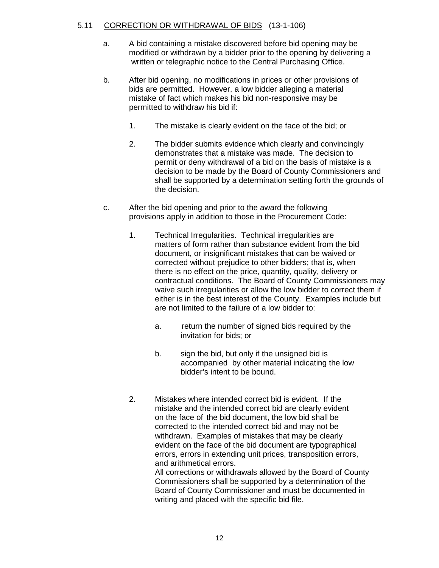# 5.11 CORRECTION OR WITHDRAWAL OF BIDS (13-1-106)

- a. A bid containing a mistake discovered before bid opening may be modified or withdrawn by a bidder prior to the opening by delivering a written or telegraphic notice to the Central Purchasing Office.
- b. After bid opening, no modifications in prices or other provisions of bids are permitted. However, a low bidder alleging a material mistake of fact which makes his bid non-responsive may be permitted to withdraw his bid if:
	- 1. The mistake is clearly evident on the face of the bid; or
	- 2. The bidder submits evidence which clearly and convincingly demonstrates that a mistake was made. The decision to permit or deny withdrawal of a bid on the basis of mistake is a decision to be made by the Board of County Commissioners and shall be supported by a determination setting forth the grounds of the decision.
- c. After the bid opening and prior to the award the following provisions apply in addition to those in the Procurement Code:
	- 1. Technical Irregularities. Technical irregularities are matters of form rather than substance evident from the bid document, or insignificant mistakes that can be waived or corrected without prejudice to other bidders; that is, when there is no effect on the price, quantity, quality, delivery or contractual conditions. The Board of County Commissioners may waive such irregularities or allow the low bidder to correct them if either is in the best interest of the County. Examples include but are not limited to the failure of a low bidder to:
		- a. return the number of signed bids required by the invitation for bids; or
		- b. sign the bid, but only if the unsigned bid is accompanied by other material indicating the low bidder's intent to be bound.
	- 2. Mistakes where intended correct bid is evident. If the mistake and the intended correct bid are clearly evident on the face of the bid document, the low bid shall be corrected to the intended correct bid and may not be withdrawn. Examples of mistakes that may be clearly evident on the face of the bid document are typographical errors, errors in extending unit prices, transposition errors, and arithmetical errors. All corrections or withdrawals allowed by the Board of County

Commissioners shall be supported by a determination of the Board of County Commissioner and must be documented in writing and placed with the specific bid file.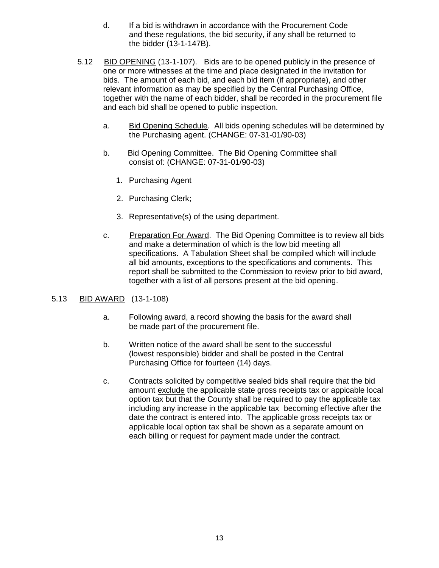- d. If a bid is withdrawn in accordance with the Procurement Code and these regulations, the bid security, if any shall be returned to the bidder (13-1-147B).
- 5.12 BID OPENING (13-1-107). Bids are to be opened publicly in the presence of one or more witnesses at the time and place designated in the invitation for bids. The amount of each bid, and each bid item (if appropriate), and other relevant information as may be specified by the Central Purchasing Office, together with the name of each bidder, shall be recorded in the procurement file and each bid shall be opened to public inspection.
	- a. Bid Opening Schedule. All bids opening schedules will be determined by the Purchasing agent. (CHANGE: 07-31-01/90-03)
	- b. Bid Opening Committee. The Bid Opening Committee shall consist of: (CHANGE: 07-31-01/90-03)
		- 1. Purchasing Agent
		- 2. Purchasing Clerk;
		- 3. Representative(s) of the using department.
	- c. Preparation For Award. The Bid Opening Committee is to review all bids and make a determination of which is the low bid meeting all specifications. A Tabulation Sheet shall be compiled which will include all bid amounts, exceptions to the specifications and comments. This report shall be submitted to the Commission to review prior to bid award, together with a list of all persons present at the bid opening.

# 5.13 BID AWARD (13-1-108)

- a. Following award, a record showing the basis for the award shall be made part of the procurement file.
- b. Written notice of the award shall be sent to the successful (lowest responsible) bidder and shall be posted in the Central Purchasing Office for fourteen (14) days.
- c. Contracts solicited by competitive sealed bids shall require that the bid amount exclude the applicable state gross receipts tax or appicable local each billing or request for payment made under the contract. option tax but that the County shall be required to pay the applicable tax including any increase in the applicable tax becoming effective after the date the contract is entered into. The applicable gross receipts tax or applicable local option tax shall be shown as a separate amount on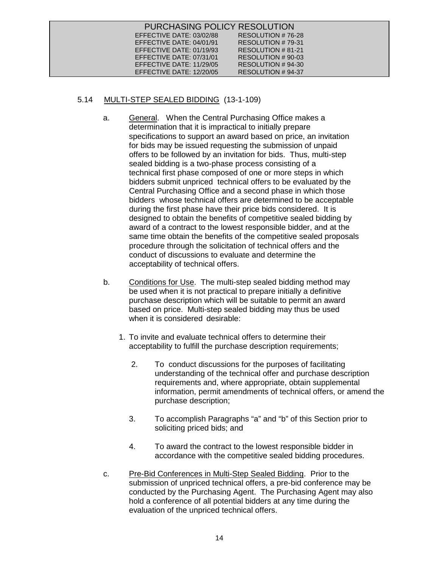| PURCHASING POLICY RESOLUTION |                    |
|------------------------------|--------------------|
| EFFECTIVE DATE: 03/02/88     | RESOLUTION #76-28  |
| EFFECTIVE DATE: 04/01/91     | RESOLUTION #79-31  |
| EFFECTIVE DATE: 01/19/93     | RESOLUTION #81-21  |
| EFFECTIVE DATE: 07/31/01     | RESOLUTION #90-03  |
| EFFECTIVE DATE: 11/29/05     | RESOLUTION # 94-30 |
| EFFECTIVE DATE: 12/20/05     | RESOLUTION #94-37  |

# 5.14 MULTI-STEP SEALED BIDDING (13-1-109)

- a. General. When the Central Purchasing Office makes a determination that it is impractical to initially prepare specifications to support an award based on price, an invitation for bids may be issued requesting the submission of unpaid offers to be followed by an invitation for bids. Thus, multi-step sealed bidding is a two-phase process consisting of a technical first phase composed of one or more steps in which bidders submit unpriced technical offers to be evaluated by the Central Purchasing Office and a second phase in which those bidders whose technical offers are determined to be acceptable during the first phase have their price bids considered. It is designed to obtain the benefits of competitive sealed bidding by award of a contract to the lowest responsible bidder, and at the same time obtain the benefits of the competitive sealed proposals procedure through the solicitation of technical offers and the conduct of discussions to evaluate and determine the acceptability of technical offers.
- b. Conditions for Use. The multi-step sealed bidding method may be used when it is not practical to prepare initially a definitive purchase description which will be suitable to permit an award based on price. Multi-step sealed bidding may thus be used when it is considered desirable:
	- 1. To invite and evaluate technical offers to determine their acceptability to fulfill the purchase description requirements;
		- 2. To conduct discussions for the purposes of facilitating understanding of the technical offer and purchase description requirements and, where appropriate, obtain supplemental information, permit amendments of technical offers, or amend the purchase description;
		- 3. To accomplish Paragraphs "a" and "b" of this Section prior to soliciting priced bids; and
		- 4. To award the contract to the lowest responsible bidder in accordance with the competitive sealed bidding procedures.
- c. Pre-Bid Conferences in Multi-Step Sealed Bidding. Prior to the submission of unpriced technical offers, a pre-bid conference may be conducted by the Purchasing Agent. The Purchasing Agent may also hold a conference of all potential bidders at any time during the evaluation of the unpriced technical offers.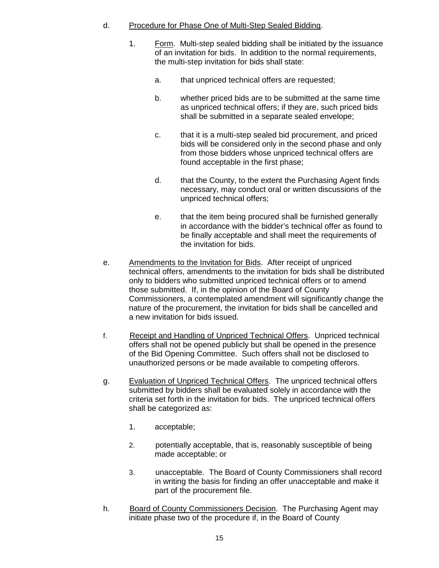# d. Procedure for Phase One of Multi-Step Sealed Bidding.

- 1. Form. Multi-step sealed bidding shall be initiated by the issuance of an invitation for bids. In addition to the normal requirements, the multi-step invitation for bids shall state:
	- a. that unpriced technical offers are requested;
	- b. whether priced bids are to be submitted at the same time as unpriced technical offers; if they are, such priced bids shall be submitted in a separate sealed envelope;
	- c. that it is a multi-step sealed bid procurement, and priced bids will be considered only in the second phase and only from those bidders whose unpriced technical offers are found acceptable in the first phase;
	- d. that the County, to the extent the Purchasing Agent finds necessary, may conduct oral or written discussions of the unpriced technical offers;
	- e. that the item being procured shall be furnished generally in accordance with the bidder's technical offer as found to be finally acceptable and shall meet the requirements of the invitation for bids.
- e. Amendments to the Invitation for Bids. After receipt of unpriced technical offers, amendments to the invitation for bids shall be distributed only to bidders who submitted unpriced technical offers or to amend those submitted. If, in the opinion of the Board of County Commissioners, a contemplated amendment will significantly change the nature of the procurement, the invitation for bids shall be cancelled and a new invitation for bids issued.
- f. Receipt and Handling of Unpriced Technical Offers. Unpriced technical offers shall not be opened publicly but shall be opened in the presence of the Bid Opening Committee. Such offers shall not be disclosed to unauthorized persons or be made available to competing offerors.
- g. Evaluation of Unpriced Technical Offers. The unpriced technical offers submitted by bidders shall be evaluated solely in accordance with the criteria set forth in the invitation for bids. The unpriced technical offers shall be categorized as:
	- 1. acceptable;
	- 2. potentially acceptable, that is, reasonably susceptible of being made acceptable; or
	- 3. unacceptable. The Board of County Commissioners shall record in writing the basis for finding an offer unacceptable and make it part of the procurement file.
- h. Board of County Commissioners Decision. The Purchasing Agent may initiate phase two of the procedure if, in the Board of County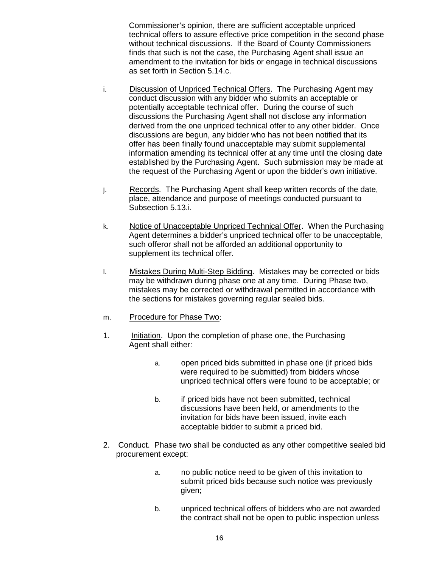Commissioner's opinion, there are sufficient acceptable unpriced technical offers to assure effective price competition in the second phase without technical discussions. If the Board of County Commissioners finds that such is not the case, the Purchasing Agent shall issue an amendment to the invitation for bids or engage in technical discussions as set forth in Section 5.14.c.

- i. Discussion of Unpriced Technical Offers. The Purchasing Agent may conduct discussion with any bidder who submits an acceptable or potentially acceptable technical offer. During the course of such discussions the Purchasing Agent shall not disclose any information derived from the one unpriced technical offer to any other bidder. Once discussions are begun, any bidder who has not been notified that its offer has been finally found unacceptable may submit supplemental information amending its technical offer at any time until the closing date established by the Purchasing Agent. Such submission may be made at the request of the Purchasing Agent or upon the bidder's own initiative.
- j. Records. The Purchasing Agent shall keep written records of the date, place, attendance and purpose of meetings conducted pursuant to Subsection 5.13.i.
- k. Notice of Unacceptable Unpriced Technical Offer. When the Purchasing Agent determines a bidder's unpriced technical offer to be unacceptable, such offeror shall not be afforded an additional opportunity to supplement its technical offer.
- l. Mistakes During Multi-Step Bidding. Mistakes may be corrected or bids may be withdrawn during phase one at any time. During Phase two, mistakes may be corrected or withdrawal permitted in accordance with the sections for mistakes governing regular sealed bids.
- m. Procedure for Phase Two:
- 1. Initiation. Upon the completion of phase one, the Purchasing Agent shall either:
	- a. open priced bids submitted in phase one (if priced bids were required to be submitted) from bidders whose unpriced technical offers were found to be acceptable; or
	- b. if priced bids have not been submitted, technical discussions have been held, or amendments to the invitation for bids have been issued, invite each acceptable bidder to submit a priced bid.
- 2. Conduct. Phase two shall be conducted as any other competitive sealed bid procurement except:
	- a. no public notice need to be given of this invitation to submit priced bids because such notice was previously given;
	- b. unpriced technical offers of bidders who are not awarded the contract shall not be open to public inspection unless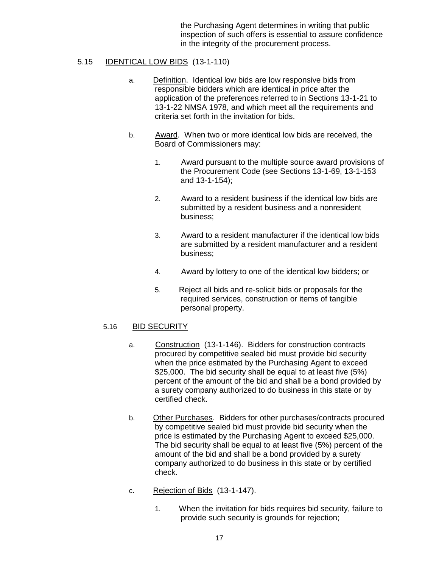the Purchasing Agent determines in writing that public inspection of such offers is essential to assure confidence in the integrity of the procurement process.

# 5.15 IDENTICAL LOW BIDS (13-1-110)

- a. Definition. Identical low bids are low responsive bids from responsible bidders which are identical in price after the application of the preferences referred to in Sections 13-1-21 to 13-1-22 NMSA 1978, and which meet all the requirements and criteria set forth in the invitation for bids.
- b. Award. When two or more identical low bids are received, the Board of Commissioners may:
	- 1. Award pursuant to the multiple source award provisions of the Procurement Code (see Sections 13-1-69, 13-1-153 and 13-1-154);
	- 2. Award to a resident business if the identical low bids are submitted by a resident business and a nonresident business;
	- 3. Award to a resident manufacturer if the identical low bids are submitted by a resident manufacturer and a resident business;
	- 4. Award by lottery to one of the identical low bidders; or
	- 5. Reject all bids and re-solicit bids or proposals for the required services, construction or items of tangible personal property.

# 5.16 BID SECURITY

- a. Construction (13-1-146). Bidders for construction contracts procured by competitive sealed bid must provide bid security when the price estimated by the Purchasing Agent to exceed \$25,000. The bid security shall be equal to at least five (5%) percent of the amount of the bid and shall be a bond provided by a surety company authorized to do business in this state or by certified check.
- b. Other Purchases. Bidders for other purchases/contracts procured by competitive sealed bid must provide bid security when the price is estimated by the Purchasing Agent to exceed \$25,000. The bid security shall be equal to at least five (5%) percent of the amount of the bid and shall be a bond provided by a surety company authorized to do business in this state or by certified check.
- c. Rejection of Bids (13-1-147).
	- 1. When the invitation for bids requires bid security, failure to provide such security is grounds for rejection;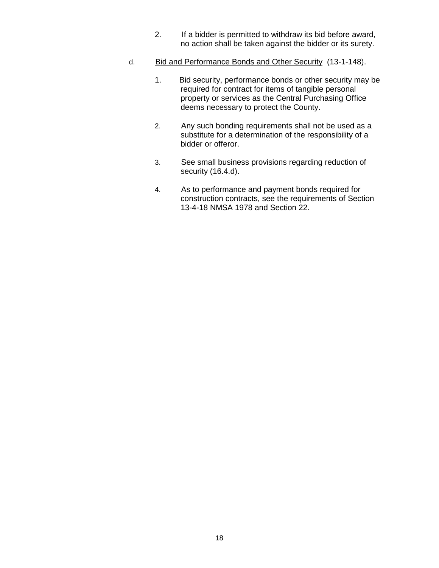- 2. If a bidder is permitted to withdraw its bid before award, no action shall be taken against the bidder or its surety.
- d. Bid and Performance Bonds and Other Security (13-1-148).
	- 1. Bid security, performance bonds or other security may be required for contract for items of tangible personal property or services as the Central Purchasing Office deems necessary to protect the County.
	- 2. Any such bonding requirements shall not be used as a substitute for a determination of the responsibility of a bidder or offeror.
	- 3. See small business provisions regarding reduction of security (16.4.d).
	- 4. As to performance and payment bonds required for construction contracts, see the requirements of Section 13-4-18 NMSA 1978 and Section 22.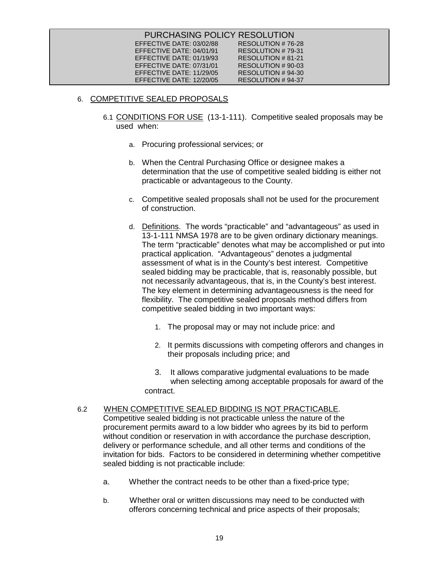# 6. COMPETITIVE SEALED PROPOSALS

- 6.1 CONDITIONS FOR USE (13-1-111). Competitive sealed proposals may be used when:
	- a. Procuring professional services; or
	- b. When the Central Purchasing Office or designee makes a determination that the use of competitive sealed bidding is either not practicable or advantageous to the County.
	- c. Competitive sealed proposals shall not be used for the procurement of construction.
	- d. Definitions. The words "practicable" and "advantageous" as used in 13-1-111 NMSA 1978 are to be given ordinary dictionary meanings. The term "practicable" denotes what may be accomplished or put into practical application. "Advantageous" denotes a judgmental assessment of what is in the County's best interest. Competitive sealed bidding may be practicable, that is, reasonably possible, but not necessarily advantageous, that is, in the County's best interest. The key element in determining advantageousness is the need for flexibility. The competitive sealed proposals method differs from competitive sealed bidding in two important ways:
		- 1. The proposal may or may not include price: and
		- 2. It permits discussions with competing offerors and changes in their proposals including price; and
		- 3. It allows comparative judgmental evaluations to be made when selecting among acceptable proposals for award of the contract.

# 6.2 WHEN COMPETITIVE SEALED BIDDING IS NOT PRACTICABLE.

Competitive sealed bidding is not practicable unless the nature of the procurement permits award to a low bidder who agrees by its bid to perform without condition or reservation in with accordance the purchase description, delivery or performance schedule, and all other terms and conditions of the invitation for bids. Factors to be considered in determining whether competitive sealed bidding is not practicable include:

- a. Whether the contract needs to be other than a fixed-price type;
- b. Whether oral or written discussions may need to be conducted with offerors concerning technical and price aspects of their proposals;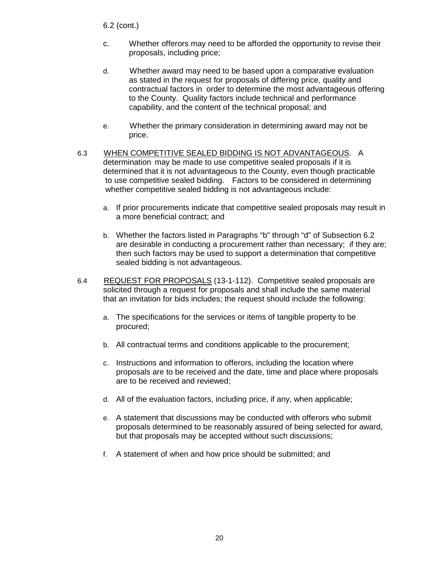6.2 (cont.)

- c. Whether offerors may need to be afforded the opportunity to revise their proposals, including price;
- d. Whether award may need to be based upon a comparative evaluation as stated in the request for proposals of differing price, quality and contractual factors in order to determine the most advantageous offering to the County. Quality factors include technical and performance capability, and the content of the technical proposal; and
- e. Whether the primary consideration in determining award may not be price.
- 6.3 <u>WHEN COMPETITIVE SEALED BIDDING IS NOT ADVANTAGEOUS</u>. A to use competitive sealed bidding. Factors to be considered in determining whether competitive sealed bidding is not advantageous include: determination may be made to use competitive sealed proposals if it is determined that it is not advantageous to the County, even though practicable
	- a. If prior procurements indicate that competitive sealed proposals may result in a more beneficial contract; and
	- b. Whether the factors listed in Paragraphs "b" through "d" of Subsection 6.2 are desirable in conducting a procurement rather than necessary; if they are; then such factors may be used to support a determination that competitive sealed bidding is not advantageous.
- 6.4 REQUEST FOR PROPOSALS (13-1-112). Competitive sealed proposals are solicited through a request for proposals and shall include the same material that an invitation for bids includes; the request should include the following:
	- a. The specifications for the services or items of tangible property to be procured;
	- b. All contractual terms and conditions applicable to the procurement;
	- c. Instructions and information to offerors, including the location where proposals are to be received and the date, time and place where proposals are to be received and reviewed;
	- d. All of the evaluation factors, including price, if any, when applicable;
	- e. A statement that discussions may be conducted with offerors who submit proposals determined to be reasonably assured of being selected for award, but that proposals may be accepted without such discussions;
	- f. A statement of when and how price should be submitted; and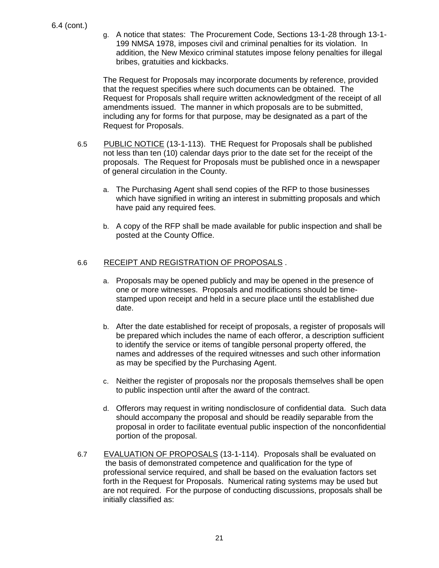g. A notice that states: The Procurement Code, Sections 13-1-28 through 13-1- 199 NMSA 1978, imposes civil and criminal penalties for its violation. In addition, the New Mexico criminal statutes impose felony penalties for illegal bribes, gratuities and kickbacks.

The Request for Proposals may incorporate documents by reference, provided that the request specifies where such documents can be obtained. The Request for Proposals shall require written acknowledgment of the receipt of all amendments issued. The manner in which proposals are to be submitted, including any for forms for that purpose, may be designated as a part of the Request for Proposals.

- 6.5 PUBLIC NOTICE (13-1-113). THE Request for Proposals shall be published not less than ten (10) calendar days prior to the date set for the receipt of the proposals. The Request for Proposals must be published once in a newspaper of general circulation in the County.
	- a. The Purchasing Agent shall send copies of the RFP to those businesses which have signified in writing an interest in submitting proposals and which have paid any required fees.
	- b. A copy of the RFP shall be made available for public inspection and shall be posted at the County Office.

# 6.6 RECEIPT AND REGISTRATION OF PROPOSALS .

- a. Proposals may be opened publicly and may be opened in the presence of one or more witnesses. Proposals and modifications should be timestamped upon receipt and held in a secure place until the established due date.
- b. After the date established for receipt of proposals, a register of proposals will be prepared which includes the name of each offeror, a description sufficient to identify the service or items of tangible personal property offered, the names and addresses of the required witnesses and such other information as may be specified by the Purchasing Agent.
- c. Neither the register of proposals nor the proposals themselves shall be open to public inspection until after the award of the contract.
- d. Offerors may request in writing nondisclosure of confidential data. Such data should accompany the proposal and should be readily separable from the proposal in order to facilitate eventual public inspection of the nonconfidential portion of the proposal.
- 6.7 EVALUATION OF PROPOSALS (13-1-114). Proposals shall be evaluated on the basis of demonstrated competence and qualification for the type of professional service required, and shall be based on the evaluation factors set forth in the Request for Proposals. Numerical rating systems may be used but are not required. For the purpose of conducting discussions, proposals shall be initially classified as: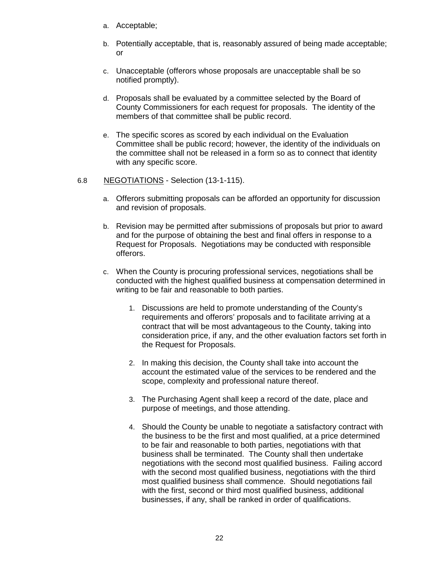- a. Acceptable;
- b. Potentially acceptable, that is, reasonably assured of being made acceptable; or
- c. Unacceptable (offerors whose proposals are unacceptable shall be so notified promptly).
- d. Proposals shall be evaluated by a committee selected by the Board of County Commissioners for each request for proposals. The identity of the members of that committee shall be public record.
- e. The specific scores as scored by each individual on the Evaluation Committee shall be public record; however, the identity of the individuals on the committee shall not be released in a form so as to connect that identity with any specific score.

# 6.8 NEGOTIATIONS - Selection (13-1-115).

- a. Offerors submitting proposals can be afforded an opportunity for discussion and revision of proposals.
- b. Revision may be permitted after submissions of proposals but prior to award and for the purpose of obtaining the best and final offers in response to a Request for Proposals. Negotiations may be conducted with responsible offerors.
- c. When the County is procuring professional services, negotiations shall be conducted with the highest qualified business at compensation determined in writing to be fair and reasonable to both parties.
	- 1. Discussions are held to promote understanding of the County's requirements and offerors' proposals and to facilitate arriving at a contract that will be most advantageous to the County, taking into consideration price, if any, and the other evaluation factors set forth in the Request for Proposals.
	- 2. In making this decision, the County shall take into account the account the estimated value of the services to be rendered and the scope, complexity and professional nature thereof.
	- 3. The Purchasing Agent shall keep a record of the date, place and purpose of meetings, and those attending.
	- 4. Should the County be unable to negotiate a satisfactory contract with the business to be the first and most qualified, at a price determined to be fair and reasonable to both parties, negotiations with that business shall be terminated. The County shall then undertake negotiations with the second most qualified business. Failing accord with the second most qualified business, negotiations with the third most qualified business shall commence. Should negotiations fail with the first, second or third most qualified business, additional businesses, if any, shall be ranked in order of qualifications.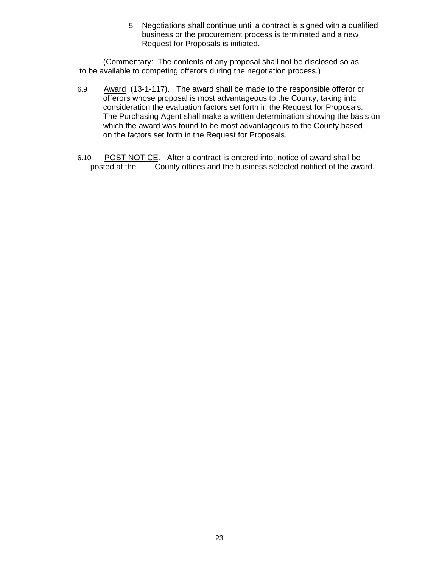5. Negotiations shall continue until a contract is signed with a qualified business or the procurement process is terminated and a new Request for Proposals is initiated.

(Commentary: The contents of any proposal shall not be disclosed so as to be available to competing offerors during the negotiation process.)

- 6.9 Award (13-1-117). The award shall be made to the responsible offeror or offerors whose proposal is most advantageous to the County, taking into consideration the evaluation factors set forth in the Request for Proposals. The Purchasing Agent shall make a written determination showing the basis on which the award was found to be most advantageous to the County based on the factors set forth in the Request for Proposals.
- 6.10 POST NOTICE. After a contract is entered into, notice of award shall be posted at the County offices and the business selected notified of the award.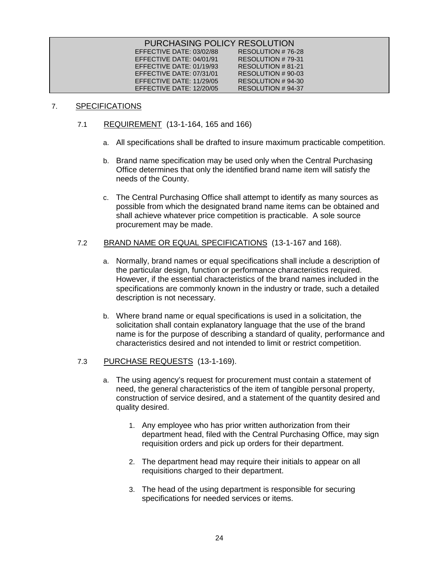| PURCHASING POLICY RESOLUTION |                   |
|------------------------------|-------------------|
| EFFECTIVE DATE: 03/02/88     | RESOLUTION #76-28 |
| EFFECTIVE DATE: 04/01/91     | RESOLUTION #79-31 |
| EFFECTIVE DATE: 01/19/93     | RESOLUTION #81-21 |
| EFFECTIVE DATE: 07/31/01     | RESOLUTION #90-03 |
| EFFECTIVE DATE: 11/29/05     | RESOLUTION #94-30 |
| EFFECTIVE DATE: 12/20/05     | RESOLUTION #94-37 |

# 7. SPECIFICATIONS

- 7.1 REQUIREMENT (13-1-164, 165 and 166)
	- a. All specifications shall be drafted to insure maximum practicable competition.
	- b. Brand name specification may be used only when the Central Purchasing Office determines that only the identified brand name item will satisfy the needs of the County.
	- c. The Central Purchasing Office shall attempt to identify as many sources as possible from which the designated brand name items can be obtained and shall achieve whatever price competition is practicable. A sole source procurement may be made.

# 7.2 BRAND NAME OR EQUAL SPECIFICATIONS (13-1-167 and 168).

- a. Normally, brand names or equal specifications shall include a description of the particular design, function or performance characteristics required. However, if the essential characteristics of the brand names included in the specifications are commonly known in the industry or trade, such a detailed description is not necessary.
- b. Where brand name or equal specifications is used in a solicitation, the solicitation shall contain explanatory language that the use of the brand name is for the purpose of describing a standard of quality, performance and characteristics desired and not intended to limit or restrict competition.

# 7.3 PURCHASE REQUESTS (13-1-169).

- a. The using agency's request for procurement must contain a statement of need, the general characteristics of the item of tangible personal property, construction of service desired, and a statement of the quantity desired and quality desired.
	- 1. Any employee who has prior written authorization from their department head, filed with the Central Purchasing Office, may sign requisition orders and pick up orders for their department.
	- 2. The department head may require their initials to appear on all requisitions charged to their department.
	- 3. The head of the using department is responsible for securing specifications for needed services or items.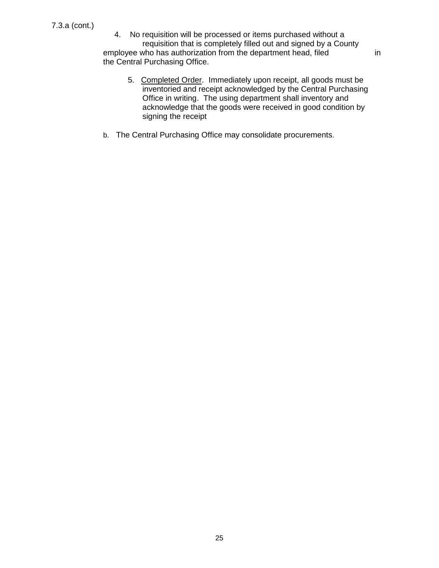4. No requisition will be processed or items purchased without a requisition that is completely filled out and signed by a County employee who has authorization from the department head, filed in the Central Purchasing Office.

- 5. Completed Order. Immediately upon receipt, all goods must be inventoried and receipt acknowledged by the Central Purchasing Office in writing. The using department shall inventory and acknowledge that the goods were received in good condition by signing the receipt
- b. The Central Purchasing Office may consolidate procurements.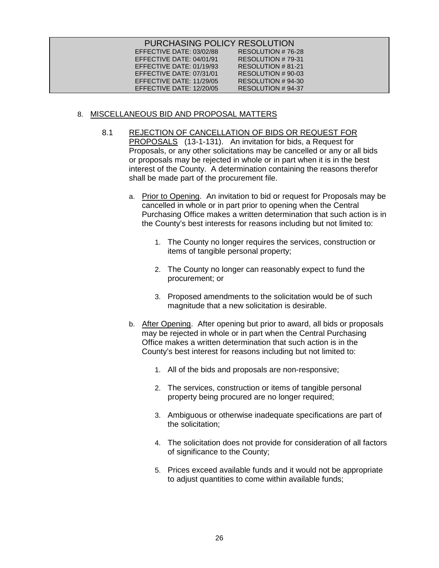| PURCHASING POLICY RESOLUTION |                   |
|------------------------------|-------------------|
| EFFECTIVE DATE: 03/02/88     | RESOLUTION #76-28 |
| EFFECTIVE DATE: 04/01/91     | RESOLUTION #79-31 |
| EFFECTIVE DATE: 01/19/93     | RESOLUTION #81-21 |
| EFFECTIVE DATE: 07/31/01     | RESOLUTION #90-03 |
| EFFECTIVE DATE: 11/29/05     | RESOLUTION #94-30 |
| EFFECTIVE DATE: 12/20/05     | RESOLUTION #94-37 |

# 8. MISCELLANEOUS BID AND PROPOSAL MATTERS

- 8.1 REJECTION OF CANCELLATION OF BIDS OR REQUEST FOR PROPOSALS (13-1-131). An invitation for bids, a Request for Proposals, or any other solicitations may be cancelled or any or all bids or proposals may be rejected in whole or in part when it is in the best interest of the County. A determination containing the reasons therefor shall be made part of the procurement file.
	- a. Prior to Opening. An invitation to bid or request for Proposals may be cancelled in whole or in part prior to opening when the Central Purchasing Office makes a written determination that such action is in the County's best interests for reasons including but not limited to:
		- 1. The County no longer requires the services, construction or items of tangible personal property;
		- 2. The County no longer can reasonably expect to fund the procurement; or
		- 3. Proposed amendments to the solicitation would be of such magnitude that a new solicitation is desirable.
	- b. After Opening. After opening but prior to award, all bids or proposals may be rejected in whole or in part when the Central Purchasing Office makes a written determination that such action is in the County's best interest for reasons including but not limited to:
		- 1. All of the bids and proposals are non-responsive;
		- 2. The services, construction or items of tangible personal property being procured are no longer required;
		- 3. Ambiguous or otherwise inadequate specifications are part of the solicitation;
		- 4. The solicitation does not provide for consideration of all factors of significance to the County;
		- 5. Prices exceed available funds and it would not be appropriate to adjust quantities to come within available funds;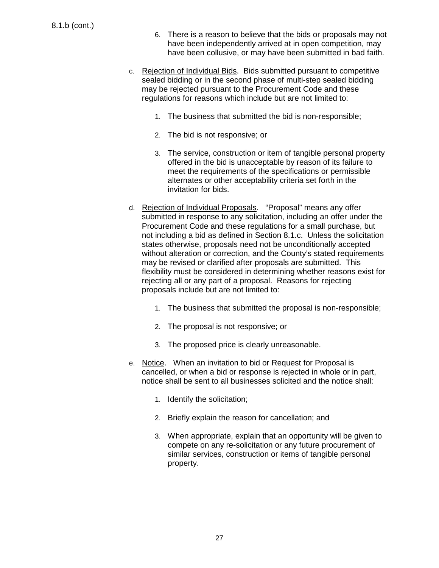- 6. There is a reason to believe that the bids or proposals may not have been independently arrived at in open competition, may have been collusive, or may have been submitted in bad faith.
- c. Rejection of Individual Bids. Bids submitted pursuant to competitive sealed bidding or in the second phase of multi-step sealed bidding may be rejected pursuant to the Procurement Code and these regulations for reasons which include but are not limited to:
	- 1. The business that submitted the bid is non-responsible;
	- 2. The bid is not responsive; or
	- 3. The service, construction or item of tangible personal property offered in the bid is unacceptable by reason of its failure to meet the requirements of the specifications or permissible alternates or other acceptability criteria set forth in the invitation for bids.
- d. Rejection of Individual Proposals. "Proposal" means any offer submitted in response to any solicitation, including an offer under the Procurement Code and these regulations for a small purchase, but not including a bid as defined in Section 8.1.c. Unless the solicitation states otherwise, proposals need not be unconditionally accepted without alteration or correction, and the County's stated requirements may be revised or clarified after proposals are submitted. This flexibility must be considered in determining whether reasons exist for rejecting all or any part of a proposal. Reasons for rejecting proposals include but are not limited to:
	- 1. The business that submitted the proposal is non-responsible;
	- 2. The proposal is not responsive; or
	- 3. The proposed price is clearly unreasonable.
- e. Notice. When an invitation to bid or Request for Proposal is cancelled, or when a bid or response is rejected in whole or in part, notice shall be sent to all businesses solicited and the notice shall:
	- 1. Identify the solicitation;
	- 2. Briefly explain the reason for cancellation; and
	- 3. When appropriate, explain that an opportunity will be given to compete on any re-solicitation or any future procurement of similar services, construction or items of tangible personal property.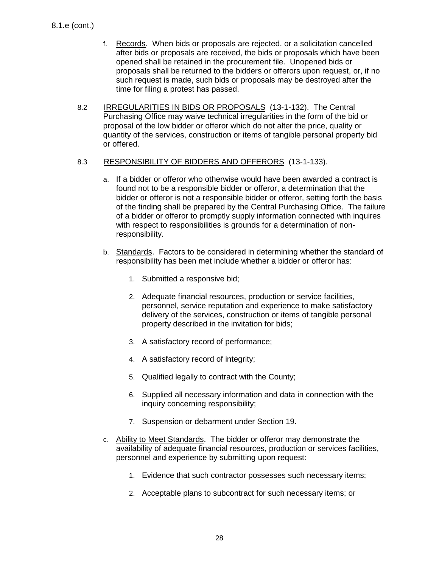- f. Records. When bids or proposals are rejected, or a solicitation cancelled after bids or proposals are received, the bids or proposals which have been opened shall be retained in the procurement file. Unopened bids or proposals shall be returned to the bidders or offerors upon request, or, if no such request is made, such bids or proposals may be destroyed after the time for filing a protest has passed.
- 8.2 IRREGULARITIES IN BIDS OR PROPOSALS (13-1-132). The Central Purchasing Office may waive technical irregularities in the form of the bid or proposal of the low bidder or offeror which do not alter the price, quality or quantity of the services, construction or items of tangible personal property bid or offered.

### 8.3 RESPONSIBILITY OF BIDDERS AND OFFERORS (13-1-133).

- a. If a bidder or offeror who otherwise would have been awarded a contract is found not to be a responsible bidder or offeror, a determination that the bidder or offeror is not a responsible bidder or offeror, setting forth the basis of the finding shall be prepared by the Central Purchasing Office. The failure of a bidder or offeror to promptly supply information connected with inquires with respect to responsibilities is grounds for a determination of nonresponsibility.
- b. Standards. Factors to be considered in determining whether the standard of responsibility has been met include whether a bidder or offeror has:
	- 1. Submitted a responsive bid;
	- 2. Adequate financial resources, production or service facilities, personnel, service reputation and experience to make satisfactory delivery of the services, construction or items of tangible personal property described in the invitation for bids;
	- 3. A satisfactory record of performance;
	- 4. A satisfactory record of integrity;
	- 5. Qualified legally to contract with the County;
	- 6. Supplied all necessary information and data in connection with the inquiry concerning responsibility;
	- 7. Suspension or debarment under Section 19.
- c. Ability to Meet Standards. The bidder or offeror may demonstrate the availability of adequate financial resources, production or services facilities, personnel and experience by submitting upon request:
	- 1. Evidence that such contractor possesses such necessary items;
	- 2. Acceptable plans to subcontract for such necessary items; or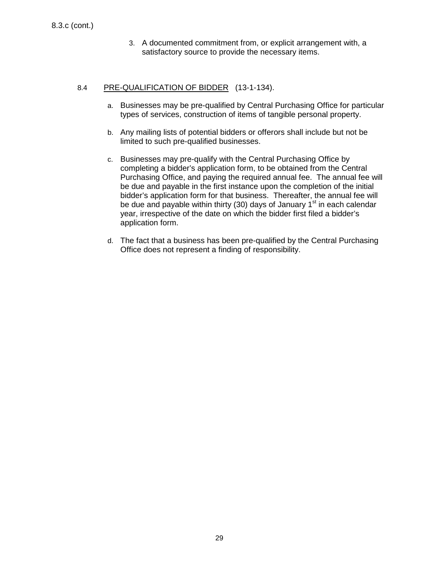3. A documented commitment from, or explicit arrangement with, a satisfactory source to provide the necessary items.

# 8.4 PRE-QUALIFICATION OF BIDDER (13-1-134).

- a. Businesses may be pre-qualified by Central Purchasing Office for particular types of services, construction of items of tangible personal property.
- b. Any mailing lists of potential bidders or offerors shall include but not be limited to such pre-qualified businesses.
- c. Businesses may pre-qualify with the Central Purchasing Office by completing a bidder's application form, to be obtained from the Central Purchasing Office, and paying the required annual fee. The annual fee will be due and payable in the first instance upon the completion of the initial bidder's application form for that business. Thereafter, the annual fee will be due and payable within thirty (30) days of January 1<sup>st</sup> in each calendar year, irrespective of the date on which the bidder first filed a bidder's application form.
- d. The fact that a business has been pre-qualified by the Central Purchasing Office does not represent a finding of responsibility.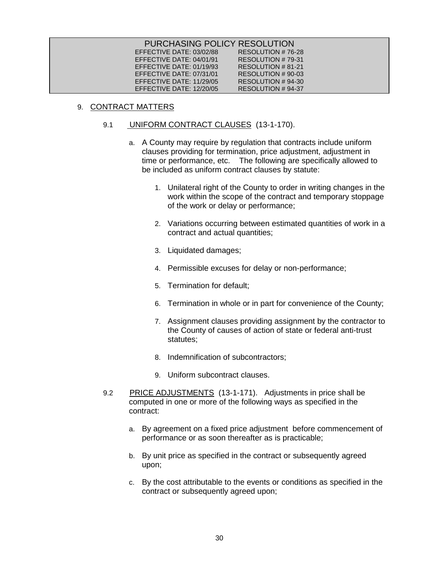| PURCHASING POLICY RESOLUTION |                   |
|------------------------------|-------------------|
| EFFECTIVE DATE: 03/02/88     | RESOLUTION #76-28 |
| EFFECTIVE DATE: 04/01/91     | RESOLUTION #79-31 |
| EFFECTIVE DATE: 01/19/93     | RESOLUTION #81-21 |
| EFFECTIVE DATE: 07/31/01     | RESOLUTION #90-03 |
| EFFECTIVE DATE: 11/29/05     | RESOLUTION #94-30 |
| EFFECTIVE DATE: 12/20/05     | RESOLUTION #94-37 |

# 9. <u>CONTRACT MATTERS</u>

### 9.1 UNIFORM CONTRACT CLAUSES (13-1-170).

- a. A County may require by regulation that contracts include uniform clauses providing for termination, price adjustment, adjustment in time or performance, etc. The following are specifically allowed to be included as uniform contract clauses by statute:
	- 1. Unilateral right of the County to order in writing changes in the work within the scope of the contract and temporary stoppage of the work or delay or performance;
	- 2. Variations occurring between estimated quantities of work in a contract and actual quantities;
	- 3. Liquidated damages;
	- 4. Permissible excuses for delay or non-performance;
	- 5. Termination for default;
	- 6. Termination in whole or in part for convenience of the County;
	- 7. Assignment clauses providing assignment by the contractor to the County of causes of action of state or federal anti-trust statutes;
	- 8. Indemnification of subcontractors;
	- 9. Uniform subcontract clauses.
- 9.2 DRICE ADJUSTMENTS (13-1-171). Adjustments in price shall be computed in one or more of the following ways as specified in the contract:
	- a. By agreement on a fixed price adjustment before commencement of performance or as soon thereafter as is practicable;
	- b. By unit price as specified in the contract or subsequently agreed upon;
	- c. By the cost attributable to the events or conditions as specified in the contract or subsequently agreed upon;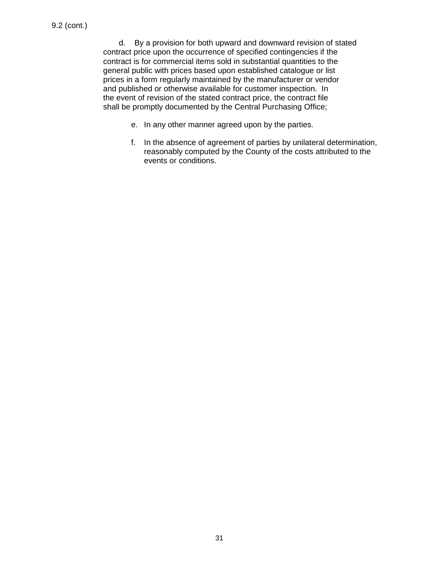d. By a provision for both upward and downward revision of stated contract price upon the occurrence of specified contingencies if the contract is for commercial items sold in substantial quantities to the general public with prices based upon established catalogue or list prices in a form regularly maintained by the manufacturer or vendor and published or otherwise available for customer inspection. In the event of revision of the stated contract price, the contract file shall be promptly documented by the Central Purchasing Office;

- e. In any other manner agreed upon by the parties.
- f. In the absence of agreement of parties by unilateral determination, reasonably computed by the County of the costs attributed to the events or conditions.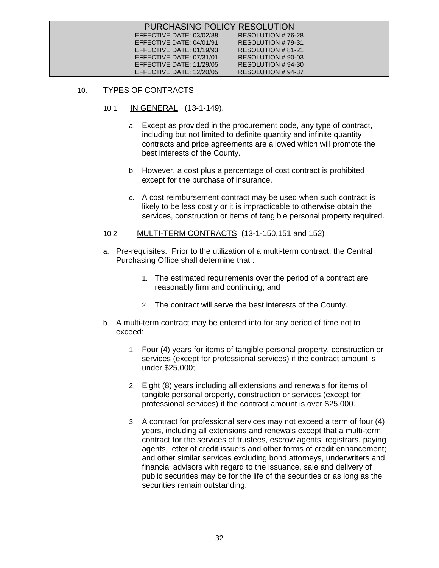| PURCHASING POLICY RESOLUTION |                    |  |
|------------------------------|--------------------|--|
| EFFECTIVE DATE: 03/02/88     | RESOLUTION #76-28  |  |
| EFFECTIVE DATE: $04/01/91$   | RESOLUTION #79-31  |  |
| EFFECTIVE DATE: $01/19/93$   | RESOLUTION # 81-21 |  |
| EFFECTIVE DATE: $07/31/01$   | RESOLUTION # 90-03 |  |
| EFFECTIVE DATE: 11/29/05     | RESOLUTION # 94-30 |  |
| EFFECTIVE DATE: 12/20/05     | RESOLUTION #94-37  |  |

### 10. TYPES OF CONTRACTS

- 10.1 <u>IN GENERAL</u> (13-1-149).
	- a. Except as provided in the procurement code, any type of contract, including but not limited to definite quantity and infinite quantity contracts and price agreements are allowed which will promote the best interests of the County.
	- b. However, a cost plus a percentage of cost contract is prohibited except for the purchase of insurance.
	- c. A cost reimbursement contract may be used when such contract is likely to be less costly or it is impracticable to otherwise obtain the services, construction or items of tangible personal property required.
- 10.2 **MULTI-TERM CONTRACTS** (13-1-150,151 and 152)
- a. Pre-requisites. Prior to the utilization of a multi-term contract, the Central Purchasing Office shall determine that :
	- 1. The estimated requirements over the period of a contract are reasonably firm and continuing; and
	- 2. The contract will serve the best interests of the County.
- b. A multi-term contract may be entered into for any period of time not to exceed:
	- 1. Four (4) years for items of tangible personal property, construction or services (except for professional services) if the contract amount is under \$25,000;
	- 2. Eight (8) years including all extensions and renewals for items of tangible personal property, construction or services (except for professional services) if the contract amount is over \$25,000.
	- 3. A contract for professional services may not exceed a term of four (4) years, including all extensions and renewals except that a multi-term contract for the services of trustees, escrow agents, registrars, paying agents, letter of credit issuers and other forms of credit enhancement; and other similar services excluding bond attorneys, underwriters and financial advisors with regard to the issuance, sale and delivery of public securities may be for the life of the securities or as long as the securities remain outstanding.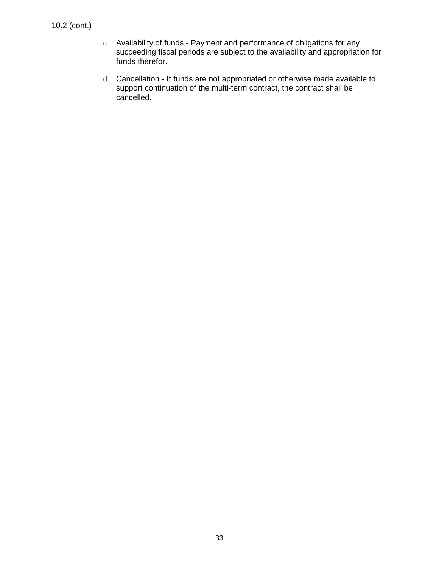- c. Availability of funds Payment and performance of obligations for any succeeding fiscal periods are subject to the availability and appropriation for funds therefor.
- d. Cancellation If funds are not appropriated or otherwise made available to support continuation of the multi-term contract, the contract shall be cancelled.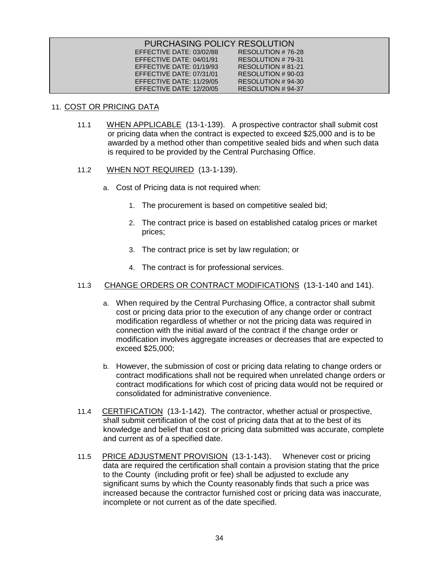| PURCHASING POLICY RESOLUTION |                    |
|------------------------------|--------------------|
| EFFECTIVE DATE: 03/02/88     | RESOLUTION #76-28  |
| EFFECTIVE DATE: 04/01/91     | RESOLUTION #79-31  |
| EFFECTIVE DATE: 01/19/93     | RESOLUTION # 81-21 |
| EFFECTIVE DATE: 07/31/01     | RESOLUTION # 90-03 |
| EFFECTIVE DATE: $11/29/05$   | RESOLUTION # 94-30 |
| EFFECTIVE DATE: 12/20/05     | RESOLUTION # 94-37 |

# 11. COST OR PRICING DATA

11.1 WHEN APPLICABLE (13-1-139). A prospective contractor shall submit cost or pricing data when the contract is expected to exceed \$25,000 and is to be awarded by a method other than competitive sealed bids and when such data is required to be provided by the Central Purchasing Office.

### 11.2 <u>WHEN NOT REQUIRED</u> (13-1-139).

- a. Cost of Pricing data is not required when:
	- 1. The procurement is based on competitive sealed bid;
	- 2. The contract price is based on established catalog prices or market prices;
	- 3. The contract price is set by law regulation; or
	- 4. The contract is for professional services.

# 11.3 CHANGE ORDERS OR CONTRACT MODIFICATIONS (13-1-140 and 141).

- a. When required by the Central Purchasing Office, a contractor shall submit cost or pricing data prior to the execution of any change order or contract modification regardless of whether or not the pricing data was required in connection with the initial award of the contract if the change order or modification involves aggregate increases or decreases that are expected to exceed \$25,000;
- b. However, the submission of cost or pricing data relating to change orders or contract modifications shall not be required when unrelated change orders or contract modifications for which cost of pricing data would not be required or consolidated for administrative convenience.
- 11.4 CERTIFICATION (13-1-142). The contractor, whether actual or prospective, shall submit certification of the cost of pricing data that at to the best of its knowledge and belief that cost or pricing data submitted was accurate, complete and current as of a specified date.
- 11.5 PRICE ADJUSTMENT PROVISION (13-1-143). Whenever cost or pricing data are required the certification shall contain a provision stating that the price to the County (including profit or fee) shall be adjusted to exclude any significant sums by which the County reasonably finds that such a price was increased because the contractor furnished cost or pricing data was inaccurate, incomplete or not current as of the date specified.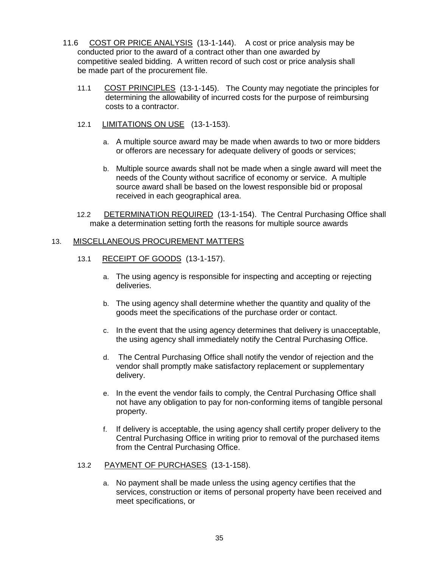- 11.6 COST OR PRICE ANALYSIS (13-1-144). A cost or price analysis may be conducted prior to the award of a contract other than one awarded by competitive sealed bidding. A written record of such cost or price analysis shall be made part of the procurement file.
	- 11.1 COST PRINCIPLES (13-1-145). The County may negotiate the principles for determining the allowability of incurred costs for the purpose of reimbursing costs to a contractor.
	- 12.1 LIMITATIONS ON USE (13-1-153).
		- a. A multiple source award may be made when awards to two or more bidders or offerors are necessary for adequate delivery of goods or services;
		- b. Multiple source awards shall not be made when a single award will meet the needs of the County without sacrifice of economy or service. A multiple source award shall be based on the lowest responsible bid or proposal received in each geographical area.
	- 12.2 DETERMINATION REQUIRED (13-1-154). The Central Purchasing Office shall make a determination setting forth the reasons for multiple source awards

### 13. MISCELLANEOUS PROCUREMENT MATTERS

- 13.1 RECEIPT OF GOODS (13-1-157).
	- a. The using agency is responsible for inspecting and accepting or rejecting deliveries.
	- b. The using agency shall determine whether the quantity and quality of the goods meet the specifications of the purchase order or contact.
	- c. In the event that the using agency determines that delivery is unacceptable, the using agency shall immediately notify the Central Purchasing Office.
	- d. The Central Purchasing Office shall notify the vendor of rejection and the vendor shall promptly make satisfactory replacement or supplementary delivery.
	- e. In the event the vendor fails to comply, the Central Purchasing Office shall not have any obligation to pay for non-conforming items of tangible personal property.
	- f. If delivery is acceptable, the using agency shall certify proper delivery to the Central Purchasing Office in writing prior to removal of the purchased items from the Central Purchasing Office.

# 13.2 PAYMENT OF PURCHASES (13-1-158).

a. No payment shall be made unless the using agency certifies that the services, construction or items of personal property have been received and meet specifications, or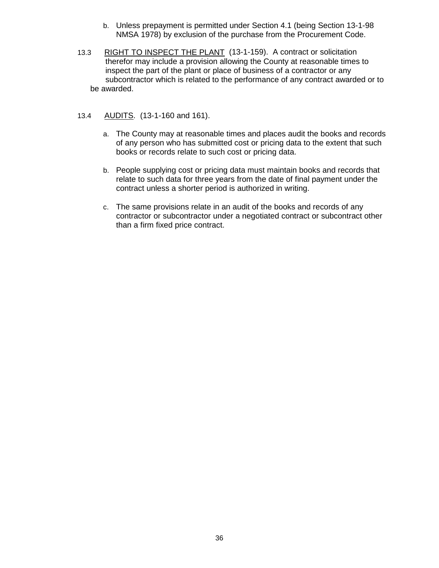- b. Unless prepayment is permitted under Section 4.1 (being Section 13-1-98 NMSA 1978) by exclusion of the purchase from the Procurement Code.
- 13.3 RIGHT TO INSPECT THE PLANT (13-1-159). A contract or solicitation therefor may include a provision allowing the County at reasonable times to inspect the part of the plant or place of business of a contractor or any subcontractor which is related to the performance of any contract awarded or to be awarded.

# 13.4 AUDITS. (13-1-160 and 161).

- a. The County may at reasonable times and places audit the books and records of any person who has submitted cost or pricing data to the extent that such books or records relate to such cost or pricing data.
- b. People supplying cost or pricing data must maintain books and records that relate to such data for three years from the date of final payment under the contract unless a shorter period is authorized in writing.
- c. The same provisions relate in an audit of the books and records of any contractor or subcontractor under a negotiated contract or subcontract other than a firm fixed price contract.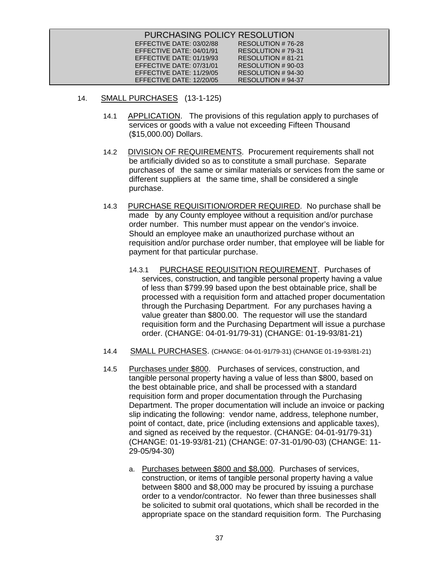| PURCHASING POLICY RESOLUTION |                   |
|------------------------------|-------------------|
| EFFECTIVE DATE: 03/02/88     | RESOLUTION #76-28 |
| EFFECTIVE DATE: 04/01/91     | RESOLUTION #79-31 |
| EFFECTIVE DATE: 01/19/93     | RESOLUTION #81-21 |
| EFFECTIVE DATE: 07/31/01     | RESOLUTION #90-03 |
| EFFECTIVE DATE: 11/29/05     | RESOLUTION #94-30 |
| EFFECTIVE DATE: 12/20/05     | RESOLUTION #94-37 |

- 14. SMALL PURCHASES (13-1-125)
	- 14.1 APPLICATION. The provisions of this regulation apply to purchases of services or goods with a value not exceeding Fifteen Thousand (\$15,000.00) Dollars.
	- 14.2 DIVISION OF REQUIREMENTS. Procurement requirements shall not be artificially divided so as to constitute a small purchase. Separate purchases of the same or similar materials or services from the same or different suppliers at the same time, shall be considered a single purchase.
	- 14.3 PURCHASE REQUISITION/ORDER REQUIRED . No purchase shall be made by any County employee without a requisition and/or purchase order number. This number must appear on the vendor's invoice. Should an employee make an unauthorized purchase without an requisition and/or purchase order number, that employee will be liable for payment for that particular purchase.
		- 14.3.1 PURCHASE REQUISITION REQUIREMENT . Purchases of services, construction, and tangible personal property having a value of less than \$799.99 based upon the best obtainable price, shall be processed with a requisition form and attached proper documentation through the Purchasing Department. For any purchases having a value greater than \$800.00. The requestor will use the standard requisition form and the Purchasing Department will issue a purchase order. (CHANGE: 04-01-91/79-31) (CHANGE: 01-19-93/81-21)
	- 14.4 SMALL PURCHASES . (CHANGE: 04-01-91/79-31) (CHANGE 01-19-93/81-21)
	- 14.5 Purchases under \$800. Purchases of services, construction, and tangible personal property having a value of less than \$800, based on the best obtainable price, and shall be processed with a standard requisition form and proper documentation through the Purchasing Department. The proper documentation will include an invoice or packing slip indicating the following: vendor name, address, telephone number, point of contact, date, price (including extensions and applicable taxes), and signed as received by the requestor. (CHANGE: 04-01-91/79-31) (CHANGE: 01-19-93/81-21) (CHANGE: 07-31-01/90-03) (CHANGE: 11- 29-05/94-30)
		- a. Purchases between \$800 and \$8,000. Purchases of services, construction, or items of tangible personal property having a value between \$800 and \$8,000 may be procured by issuing a purchase order to a vendor/contractor. No fewer than three businesses shall be solicited to submit oral quotations, which shall be recorded in the appropriate space on the standard requisition form. The Purchasing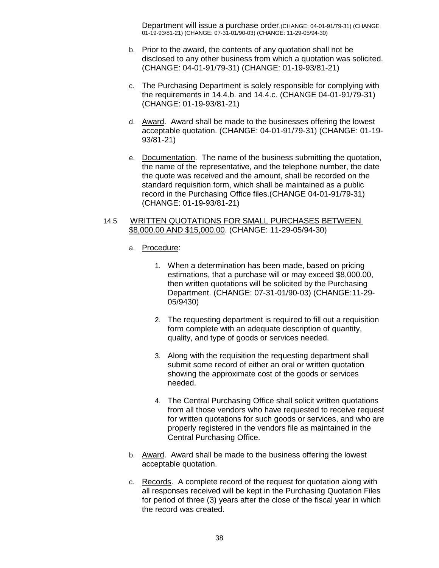Department will issue a purchase order.(CHANGE: 04-01-91/79-31) (CHANGE 01-19-93/81-21) (CHANGE: 07-31-01/90-03) (CHANGE: 11-29-05/94-30)

- b. Prior to the award, the contents of any quotation shall not be disclosed to any other business from which a quotation was solicited. (CHANGE: 04-01-91/79-31) (CHANGE: 01-19-93/81-21)
- c. The Purchasing Department is solely responsible for complying with the requirements in 14.4.b. and 14.4.c. (CHANGE 04-01-91/79-31) (CHANGE: 01-19-93/81-21)
- d. Lettand. Award shall be made to the businesses offering the lowest acceptable quotation. (CHANGE: 04-01-91/79-31) (CHANGE: 01-19- 93/81-21)
- e. Documentation. The name of the business submitting the quotation, the name of the representative, and the telephone number, the date the quote was received and the amount, shall be recorded on the standard requisition form, which shall be maintained as a public record in the Purchasing Office files.(CHANGE 04-01-91/79-31) (CHANGE: 01-19-93/81-21)

### 14.5 WRITTEN QUOTATIONS FOR SMALL PURCHASES BETWEEN \$8,000.00 AND \$15,000.00 . (CHANGE: 11-29-05/94-30)

# a. <u>Procedure</u>:

- 1. When a determination has been made, based on pricing estimations, that a purchase will or may exceed \$8,000.00, then written quotations will be solicited by the Purchasing Department. (CHANGE: 07-31-01/90-03) (CHANGE:11-29- 05/9430)
- 2. The requesting department is required to fill out a requisition form complete with an adequate description of quantity, quality, and type of goods or services needed.
- 3. Along with the requisition the requesting department shall submit some record of either an oral or written quotation showing the approximate cost of the goods or services needed.
- 4. The Central Purchasing Office shall solicit written quotations from all those vendors who have requested to receive request for written quotations for such goods or services, and who are properly registered in the vendors file as maintained in the Central Purchasing Office.
- b. Award. Award shall be made to the business offering the lowest acceptable quotation.
- c. Records. A complete record of the request for quotation along with all responses received will be kept in the Purchasing Quotation Files for period of three (3) years after the close of the fiscal year in which the record was created.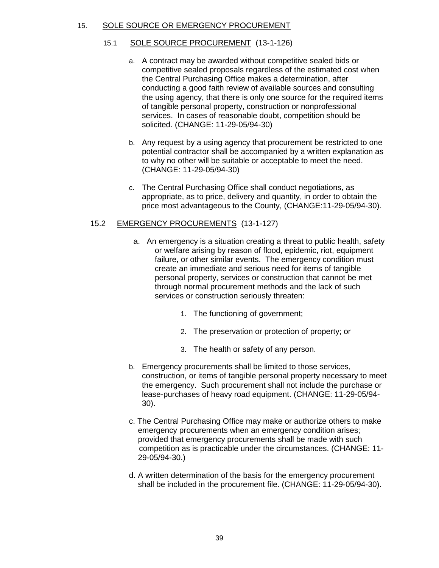### 15. SOLE SOURCE OR EMERGENCY PROCUREMENT

- 15.1 SOLE SOURCE PROCUREMENT (13-1-126)
	- a. A contract may be awarded without competitive sealed bids or competitive sealed proposals regardless of the estimated cost when the Central Purchasing Office makes a determination, after conducting a good faith review of available sources and consulting the using agency, that there is only one source for the required items of tangible personal property, construction or nonprofessional services. In cases of reasonable doubt, competition should be solicited. (CHANGE: 11-29-05/94-30)
	- b. Any request by a using agency that procurement be restricted to one potential contractor shall be accompanied by a written explanation as to why no other will be suitable or acceptable to meet the need. (CHANGE: 11-29-05/94-30)
	- c. The Central Purchasing Office shall conduct negotiations, as appropriate, as to price, delivery and quantity, in order to obtain the price most advantageous to the County, (CHANGE:11-29-05/94-30).

# 15.2 EMERGENCY PROCUREMENTS (13-1-127)

- a. An emergency is a situation creating a threat to public health, safety or welfare arising by reason of flood, epidemic, riot, equipment failure, or other similar events. The emergency condition must create an immediate and serious need for items of tangible personal property, services or construction that cannot be met through normal procurement methods and the lack of such services or construction seriously threaten:
	- 1. The functioning of government;
	- 2. The preservation or protection of property; or
	- 3. The health or safety of any person.
- b. Emergency procurements shall be limited to those services, construction, or items of tangible personal property necessary to meet the emergency. Such procurement shall not include the purchase or lease-purchases of heavy road equipment. (CHANGE: 11-29-05/94- 30).
- c. The Central Purchasing Office may make or authorize others to make emergency procurements when an emergency condition arises; provided that emergency procurements shall be made with such competition as is practicable under the circumstances. (CHANGE: 11- 29-05/94-30.)
- d. A written determination of the basis for the emergency procurement shall be included in the procurement file. (CHANGE: 11-29-05/94-30).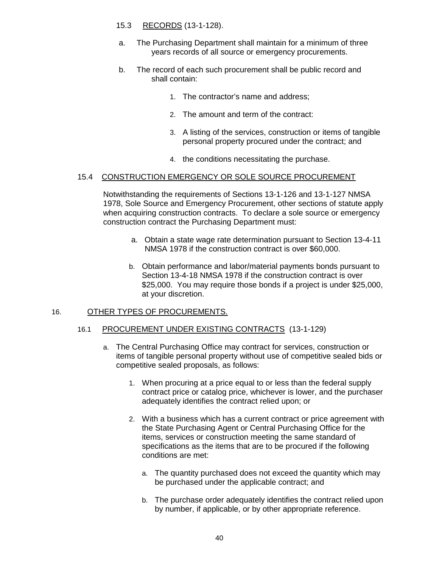# 15.3 RECORDS (13-1-128).

- a. The Purchasing Department shall maintain for a minimum of three years records of all source or emergency procurements.
- b. The record of each such procurement shall be public record and shall contain:
	- 1. The contractor's name and address;
	- 2. The amount and term of the contract:
	- 3. A listing of the services, construction or items of tangible personal property procured under the contract; and
	- 4. the conditions necessitating the purchase.

# 15.4 CONSTRUCTION EMERGENCY OR SOLE SOURCE PROCUREMENT

Notwithstanding the requirements of Sections 13-1-126 and 13-1-127 NMSA 1978, Sole Source and Emergency Procurement, other sections of statute apply when acquiring construction contracts. To declare a sole source or emergency construction contract the Purchasing Department must:

- a. Obtain a state wage rate determination pursuant to Section 13-4-11 NMSA 1978 if the construction contract is over \$60,000.
- b. Obtain performance and labor/material payments bonds pursuant to Section 13-4-18 NMSA 1978 if the construction contract is over \$25,000. You may require those bonds if a project is under \$25,000, at your discretion.

### 16. OTHER TYPES OF PROCUREMENTS.

### 16.1 PROCUREMENT UNDER EXISTING CONTRACTS (13-1-129)

- a. The Central Purchasing Office may contract for services, construction or items of tangible personal property without use of competitive sealed bids or competitive sealed proposals, as follows:
	- 1. When procuring at a price equal to or less than the federal supply contract price or catalog price, whichever is lower, and the purchaser adequately identifies the contract relied upon; or
	- 2. With a business which has a current contract or price agreement with the State Purchasing Agent or Central Purchasing Office for the items, services or construction meeting the same standard of specifications as the items that are to be procured if the following conditions are met:
		- a. The quantity purchased does not exceed the quantity which may be purchased under the applicable contract; and
		- b. The purchase order adequately identifies the contract relied upon by number, if applicable, or by other appropriate reference.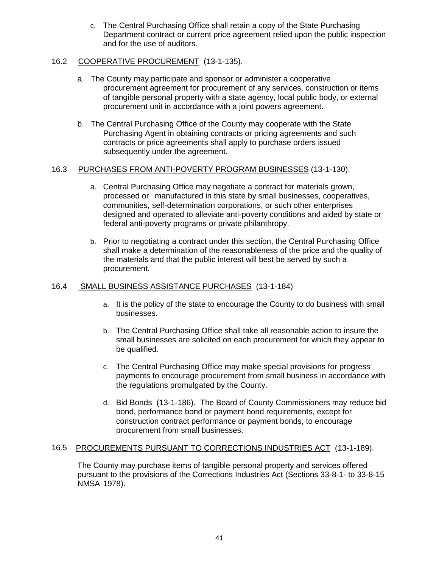c. The Central Purchasing Office shall retain a copy of the State Purchasing Department contract or current price agreement relied upon the public inspection and for the use of auditors.

# 16.2 COOPERATIVE PROCUREMENT (13-1-135).

- a. The County may participate and sponsor or administer a cooperative procurement agreement for procurement of any services, construction or items of tangible personal property with a state agency, local public body, or external procurement unit in accordance with a joint powers agreement.
- b. The Central Purchasing Office of the County may cooperate with the State Purchasing Agent in obtaining contracts or pricing agreements and such contracts or price agreements shall apply to purchase orders issued subsequently under the agreement.

# 16.3 <u>PURCHASES FROM ANTI-POVERTY PROGRAM BUSINESSES</u> (13-1-130).

- a. Central Purchasing Office may negotiate a contract for materials grown, processed or manufactured in this state by small businesses, cooperatives, communities, self-determination corporations, or such other enterprises designed and operated to alleviate anti-poverty conditions and aided by state or federal anti-poverty programs or private philanthropy.
- b. Prior to negotiating a contract under this section, the Central Purchasing Office shall make a determination of the reasonableness of the price and the quality of the materials and that the public interest will best be served by such a procurement.

# 16.4 SMALL BUSINESS ASSISTANCE PURCHASES (13-1-184)

- a. It is the policy of the state to encourage the County to do business with small businesses.
- b. The Central Purchasing Office shall take all reasonable action to insure the small businesses are solicited on each procurement for which they appear to be qualified.
- c. The Central Purchasing Office may make special provisions for progress payments to encourage procurement from small business in accordance with the regulations promulgated by the County.
- d. Bid Bonds (13-1-186). The Board of County Commissioners may reduce bid bond, performance bond or payment bond requirements, except for construction contract performance or payment bonds, to encourage procurement from small businesses.

# 16.5 PROCUREMENTS PURSUANT TO CORRECTIONS INDUSTRIES ACT (13-1-189).

The County may purchase items of tangible personal property and services offered pursuant to the provisions of the Corrections Industries Act (Sections 33-8-1- to 33-8-15 NMSA 1978).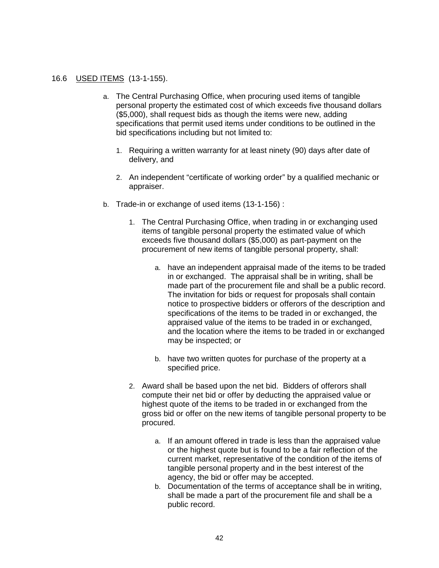# 16.6 USED ITEMS (13-1-155).

- a. The Central Purchasing Office, when procuring used items of tangible personal property the estimated cost of which exceeds five thousand dollars (\$5,000), shall request bids as though the items were new, adding specifications that permit used items under conditions to be outlined in the bid specifications including but not limited to:
	- 1. Requiring a written warranty for at least ninety (90) days after date of delivery, and
	- 2. An independent "certificate of working order" by a qualified mechanic or appraiser.
- b. Trade-in or exchange of used items (13-1-156) :
	- 1. The Central Purchasing Office, when trading in or exchanging used items of tangible personal property the estimated value of which exceeds five thousand dollars (\$5,000) as part-payment on the procurement of new items of tangible personal property, shall:
		- a. have an independent appraisal made of the items to be traded in or exchanged. The appraisal shall be in writing, shall be made part of the procurement file and shall be a public record. The invitation for bids or request for proposals shall contain notice to prospective bidders or offerors of the description and specifications of the items to be traded in or exchanged, the appraised value of the items to be traded in or exchanged, and the location where the items to be traded in or exchanged may be inspected; or
		- b. have two written quotes for purchase of the property at a specified price.
	- 2. Award shall be based upon the net bid. Bidders of offerors shall compute their net bid or offer by deducting the appraised value or highest quote of the items to be traded in or exchanged from the gross bid or offer on the new items of tangible personal property to be procured.
		- a. If an amount offered in trade is less than the appraised value or the highest quote but is found to be a fair reflection of the current market, representative of the condition of the items of tangible personal property and in the best interest of the agency, the bid or offer may be accepted.
		- b. Documentation of the terms of acceptance shall be in writing, shall be made a part of the procurement file and shall be a public record.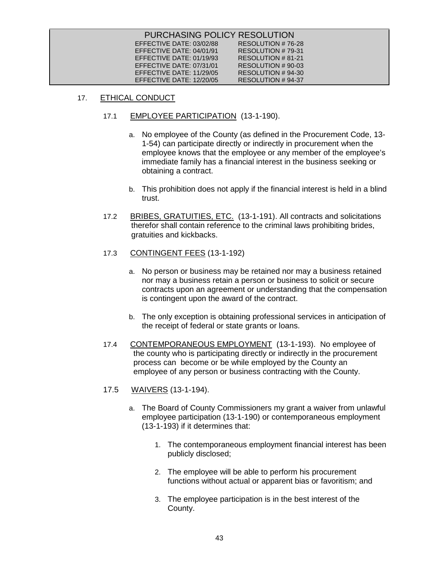| PURCHASING POLICY RESOLUTION |                   |
|------------------------------|-------------------|
| EFFECTIVE DATE: 03/02/88     | RESOLUTION #76-28 |
| EFFECTIVE DATE: 04/01/91     | RESOLUTION #79-31 |
| EFFECTIVE DATE: 01/19/93     | RESOLUTION #81-21 |
| EFFECTIVE DATE: 07/31/01     | RESOLUTION #90-03 |
| EFFECTIVE DATE: 11/29/05     | RESOLUTION #94-30 |
| EFFECTIVE DATE: 12/20/05     | RESOLUTION #94-37 |

# 17. ETHICAL CONDUCT

- 17.1 EMPLOYEE PARTICIPATION (13-1-190).
	- a. No employee of the County (as defined in the Procurement Code, 13- 1-54) can participate directly or indirectly in procurement when the employee knows that the employee or any member of the employee's immediate family has a financial interest in the business seeking or obtaining a contract.
	- b. This prohibition does not apply if the financial interest is held in a blind trust.
- 17.2 BRIBES, GRATUITIES, ETC. (13-1-191). All contracts and solicitations therefor shall contain reference to the criminal laws prohibiting brides, gratuities and kickbacks.
- 17.3 CONTINGENT FEES (13-1-192)
	- a. No person or business may be retained nor may a business retained nor may a business retain a person or business to solicit or secure contracts upon an agreement or understanding that the compensation is contingent upon the award of the contract.
	- b. The only exception is obtaining professional services in anticipation of the receipt of federal or state grants or loans.
- 17.4 CONTEMPORANEOUS EMPLOYMENT (13-1-193). No employee of the county who is participating directly or indirectly in the procurement process can become or be while employed by the County an employee of any person or business contracting with the County.
- 17.5 WAIVERS (13-1-194).
	- a. The Board of County Commissioners my grant a waiver from unlawful employee participation (13-1-190) or contemporaneous employment (13-1-193) if it determines that:
		- 1. The contemporaneous employment financial interest has been publicly disclosed;
		- 2. The employee will be able to perform his procurement functions without actual or apparent bias or favoritism; and
		- 3. The employee participation is in the best interest of the County.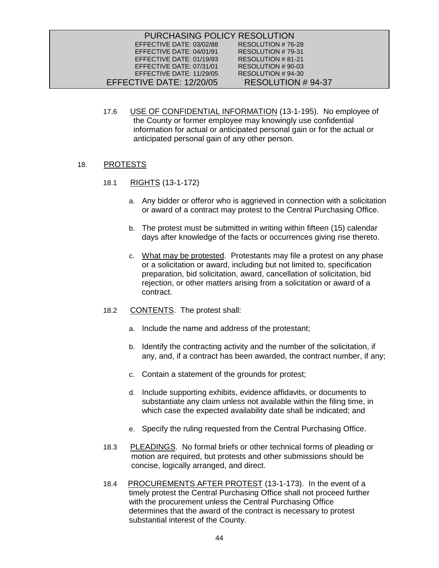| PURCHASING POLICY RESOLUTION |                   |
|------------------------------|-------------------|
| EFFECTIVE DATE: 03/02/88     | RESOLUTION #76-28 |
| EFFECTIVE DATE: 04/01/91     | RESOLUTION #79-31 |
| EFFECTIVE DATE: 01/19/93     | RESOLUTION #81-21 |
| EFFECTIVE DATE: 07/31/01     | RESOLUTION #90-03 |
| EFFECTIVE DATE: 11/29/05     | RESOLUTION #94-30 |
| EFFECTIVE DATE: 12/20/05     | RESOLUTION #94-37 |

17.6 USE OF CONFIDENTIAL INFORMATION (13-1-195). No employee of the County or former employee may knowingly use confidential information for actual or anticipated personal gain or for the actual or anticipated personal gain of any other person.

# 18. PROTESTS

- 18.1 RIGHTS (13-1-172)
	- a. Any bidder or offeror who is aggrieved in connection with a solicitation or award of a contract may protest to the Central Purchasing Office.
	- b. The protest must be submitted in writing within fifteen (15) calendar days after knowledge of the facts or occurrences giving rise thereto.
	- c. What may be protested. Protestants may file a protest on any phase or a solicitation or award, including but not limited to, specification preparation, bid solicitation, award, cancellation of solicitation, bid rejection, or other matters arising from a solicitation or award of a contract.
- 18.2 CONTENTS. The protest shall:
	- a. Include the name and address of the protestant;
	- b. Identify the contracting activity and the number of the solicitation, if any, and, if a contract has been awarded, the contract number, if any;
	- c. Contain a statement of the grounds for protest;
	- d. Include supporting exhibits, evidence affidavits, or documents to substantiate any claim unless not available within the filing time, in which case the expected availability date shall be indicated; and
	- e. Specify the ruling requested from the Central Purchasing Office.
- 18.3 PLEADINGS. No formal briefs or other technical forms of pleading or motion are required, but protests and other submissions should be concise, logically arranged, and direct.
- 18.4 PROCUREMENTS AFTER PROTEST (13-1-173). In the event of a timely protest the Central Purchasing Office shall not proceed further with the procurement unless the Central Purchasing Office determines that the award of the contract is necessary to protest substantial interest of the County.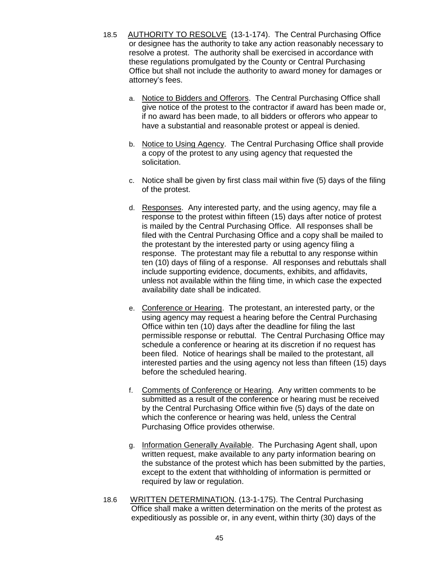- 18.5 AUTHORITY TO RESOLVE (13-1-174). The Central Purchasing Office or designee has the authority to take any action reasonably necessary to resolve a protest. The authority shall be exercised in accordance with these regulations promulgated by the County or Central Purchasing Office but shall not include the authority to award money for damages or attorney's fees.
	- a. Notice to Bidders and Offerors. The Central Purchasing Office shall give notice of the protest to the contractor if award has been made or, if no award has been made, to all bidders or offerors who appear to have a substantial and reasonable protest or appeal is denied.
	- b. Notice to Using Agency. The Central Purchasing Office shall provide a copy of the protest to any using agency that requested the solicitation.
	- c. Notice shall be given by first class mail within five (5) days of the filing of the protest.
	- d. Responses. Any interested party, and the using agency, may file a response to the protest within fifteen (15) days after notice of protest is mailed by the Central Purchasing Office. All responses shall be filed with the Central Purchasing Office and a copy shall be mailed to the protestant by the interested party or using agency filing a response. The protestant may file a rebuttal to any response within ten (10) days of filing of a response. All responses and rebuttals shall include supporting evidence, documents, exhibits, and affidavits, unless not available within the filing time, in which case the expected availability date shall be indicated.
	- e. Conference or Hearing. The protestant, an interested party, or the using agency may request a hearing before the Central Purchasing Office within ten (10) days after the deadline for filing the last permissible response or rebuttal. The Central Purchasing Office may schedule a conference or hearing at its discretion if no request has been filed. Notice of hearings shall be mailed to the protestant, all interested parties and the using agency not less than fifteen (15) days before the scheduled hearing.
	- f. Comments of Conference or Hearing. Any written comments to be submitted as a result of the conference or hearing must be received by the Central Purchasing Office within five (5) days of the date on which the conference or hearing was held, unless the Central Purchasing Office provides otherwise.
	- g. Information Generally Available. The Purchasing Agent shall, upon written request, make available to any party information bearing on the substance of the protest which has been submitted by the parties, except to the extent that withholding of information is permitted or required by law or regulation.
- 18.6 WRITTEN DETERMINATION. (13-1-175). The Central Purchasing Office shall make a written determination on the merits of the protest as expeditiously as possible or, in any event, within thirty (30) days of the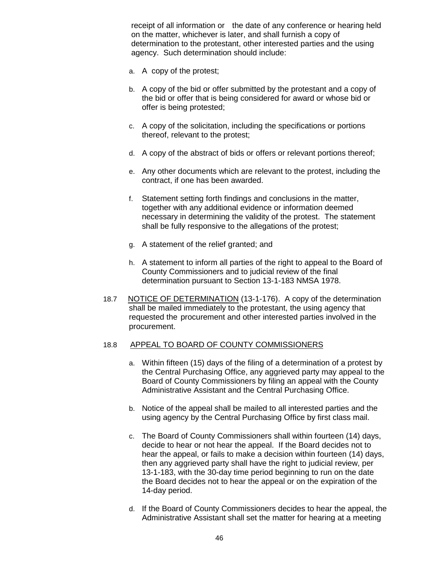receipt of all information or the date of any conference or hearing held on the matter, whichever is later, and shall furnish a copy of determination to the protestant, other interested parties and the using agency. Such determination should include:

- a. A copy of the protest;
- b. A copy of the bid or offer submitted by the protestant and a copy of the bid or offer that is being considered for award or whose bid or offer is being protested;
- c. A copy of the solicitation, including the specifications or portions thereof, relevant to the protest;
- d. A copy of the abstract of bids or offers or relevant portions thereof;
- e. Any other documents which are relevant to the protest, including the contract, if one has been awarded.
- f. Statement setting forth findings and conclusions in the matter, together with any additional evidence or information deemed necessary in determining the validity of the protest. The statement shall be fully responsive to the allegations of the protest;
- g. A statement of the relief granted; and
- h. A statement to inform all parties of the right to appeal to the Board of County Commissioners and to judicial review of the final determination pursuant to Section 13-1-183 NMSA 1978.
- 18.7 NOTICE OF DETERMINATION (13-1-176). A copy of the determination shall be mailed immediately to the protestant, the using agency that requested the procurement and other interested parties involved in the procurement.

# 18.8 APPEAL TO BOARD OF COUNTY COMMISSIONERS

- a. Within fifteen (15) days of the filing of a determination of a protest by the Central Purchasing Office, any aggrieved party may appeal to the Board of County Commissioners by filing an appeal with the County Administrative Assistant and the Central Purchasing Office.
- b. Notice of the appeal shall be mailed to all interested parties and the using agency by the Central Purchasing Office by first class mail.
- c. The Board of County Commissioners shall within fourteen (14) days, decide to hear or not hear the appeal. If the Board decides not to hear the appeal, or fails to make a decision within fourteen (14) days, then any aggrieved party shall have the right to judicial review, per 13-1-183, with the 30-day time period beginning to run on the date the Board decides not to hear the appeal or on the expiration of the 14-day period.
- d. If the Board of County Commissioners decides to hear the appeal, the Administrative Assistant shall set the matter for hearing at a meeting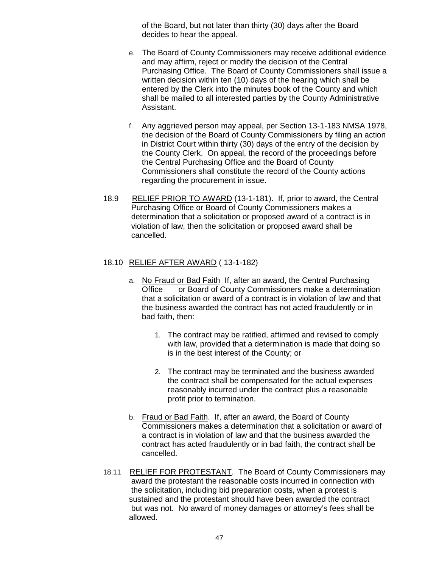of the Board, but not later than thirty (30) days after the Board decides to hear the appeal.

- e. The Board of County Commissioners may receive additional evidence and may affirm, reject or modify the decision of the Central Purchasing Office. The Board of County Commissioners shall issue a written decision within ten (10) days of the hearing which shall be entered by the Clerk into the minutes book of the County and which shall be mailed to all interested parties by the County Administrative Assistant.
- f. Any aggrieved person may appeal, per Section 13-1-183 NMSA 1978, the decision of the Board of County Commissioners by filing an action in District Court within thirty (30) days of the entry of the decision by the County Clerk. On appeal, the record of the proceedings before the Central Purchasing Office and the Board of County Commissioners shall constitute the record of the County actions regarding the procurement in issue.
- 18.9 RELIEF PRIOR TO AWARD (13-1-181). If, prior to award, the Central Purchasing Office or Board of County Commissioners makes a determination that a solicitation or proposed award of a contract is in violation of law, then the solicitation or proposed award shall be cancelled.

# 18.10 <u>RELIEF AFTER AWARD</u> ( 13-1-182)

- a. No Fraud or Bad Faith If, after an award, the Central Purchasing Office or Board of County Commissioners make a determination that a solicitation or award of a contract is in violation of law and that the business awarded the contract has not acted fraudulently or in bad faith, then:
	- 1. The contract may be ratified, affirmed and revised to comply with law, provided that a determination is made that doing so is in the best interest of the County; or
	- 2. The contract may be terminated and the business awarded the contract shall be compensated for the actual expenses reasonably incurred under the contract plus a reasonable profit prior to termination.
- b. Fraud or Bad Faith. If, after an award, the Board of County Commissioners makes a determination that a solicitation or award of a contract is in violation of law and that the business awarded the contract has acted fraudulently or in bad faith, the contract shall be cancelled.
- 18.11 RELIEF FOR PROTESTANT. The Board of County Commissioners may award the protestant the reasonable costs incurred in connection with the solicitation, including bid preparation costs, when a protest is sustained and the protestant should have been awarded the contract but was not. No award of money damages or attorney's fees shall be allowed.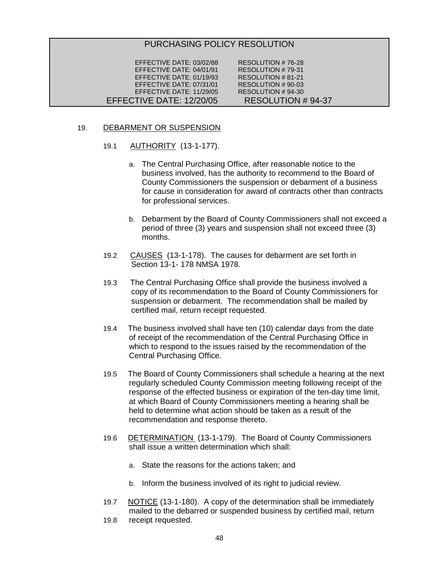# PURCHASING POLICY RESOLUTION

| EFFECTIVE DATE: 03/02/88 | RESOLUTION #76-28        |
|--------------------------|--------------------------|
| EFFECTIVE DATE: 04/01/91 | RESOLUTION #79-31        |
| EFFECTIVE DATE: 01/19/93 | RESOLUTION #81-21        |
| EFFECTIVE DATE: 07/31/01 | RESOLUTION # 90-03       |
| EFFECTIVE DATE: 11/29/05 | RESOLUTION #94-30        |
| EFFECTIVE DATE: 12/20/05 | <b>RESOLUTION #94-37</b> |
|                          |                          |

# 19. DEBARMENT OR SUSPENSION

- 19.1 AUTHORITY (13-1-177).
	- a. The Central Purchasing Office, after reasonable notice to the business involved, has the authority to recommend to the Board of County Commissioners the suspension or debarment of a business for cause in consideration for award of contracts other than contracts for professional services.
	- b. Debarment by the Board of County Commissioners shall not exceed a period of three (3) years and suspension shall not exceed three (3) months.
- 19.2 CAUSES (13-1-178). The causes for debarment are set forth in Section 13-1- 178 NMSA 1978.
- 19.3 The Central Purchasing Office shall provide the business involved a copy of its recommendation to the Board of County Commissioners for suspension or debarment. The recommendation shall be mailed by certified mail, return receipt requested.
- 19.4 The business involved shall have ten (10) calendar days from the date of receipt of the recommendation of the Central Purchasing Office in which to respond to the issues raised by the recommendation of the Central Purchasing Office.
- 19.5 The Board of County Commissioners shall schedule a hearing at the next regularly scheduled County Commission meeting following receipt of the response of the effected business or expiration of the ten-day time limit, at which Board of County Commissioners meeting a hearing shall be held to determine what action should be taken as a result of the recommendation and response thereto.
- 19.6 DETERMINATION (13-1-179). The Board of County Commissioners shall issue a written determination which shall:
	- a. State the reasons for the actions taken; and
	- b. Inform the business involved of its right to judicial review.
- 19.7 **NOTICE** (13-1-180). A copy of the determination shall be immediately mailed to the debarred or suspended business by certified mail, return
- 19.8 receipt requested.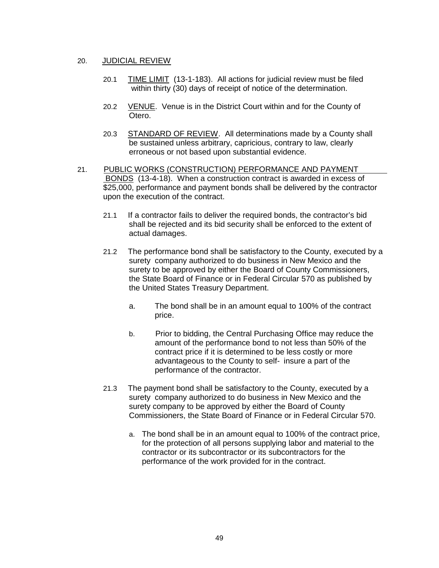# 20. JUDICIAL REVIEW

- 20.1 TIME LIMIT (13-1-183). All actions for judicial review must be filed within thirty (30) days of receipt of notice of the determination.
- 20.2 VENUE. Venue is in the District Court within and for the County of Otero.
- 20.3 STANDARD OF REVIEW. All determinations made by a County shall be sustained unless arbitrary, capricious, contrary to law, clearly erroneous or not based upon substantial evidence.
- 21. PUBLIC WORKS (CONSTRUCTION) PERFORMANCE AND PAYMENT BONDS (13-4-18). When a construction contract is awarded in excess of \$25,000, performance and payment bonds shall be delivered by the contractor upon the execution of the contract.
	- 21.1 If a contractor fails to deliver the required bonds, the contractor's bid shall be rejected and its bid security shall be enforced to the extent of actual damages.
	- 21.2 The performance bond shall be satisfactory to the County, executed by a surety company authorized to do business in New Mexico and the surety to be approved by either the Board of County Commissioners, the State Board of Finance or in Federal Circular 570 as published by the United States Treasury Department.
		- a. The bond shall be in an amount equal to 100% of the contract price.
		- b. Prior to bidding, the Central Purchasing Office may reduce the amount of the performance bond to not less than 50% of the contract price if it is determined to be less costly or more advantageous to the County to self- insure a part of the performance of the contractor.
	- 21.3 The payment bond shall be satisfactory to the County, executed by a surety company authorized to do business in New Mexico and the surety company to be approved by either the Board of County Commissioners, the State Board of Finance or in Federal Circular 570.
		- a. The bond shall be in an amount equal to 100% of the contract price, for the protection of all persons supplying labor and material to the contractor or its subcontractor or its subcontractors for the performance of the work provided for in the contract.